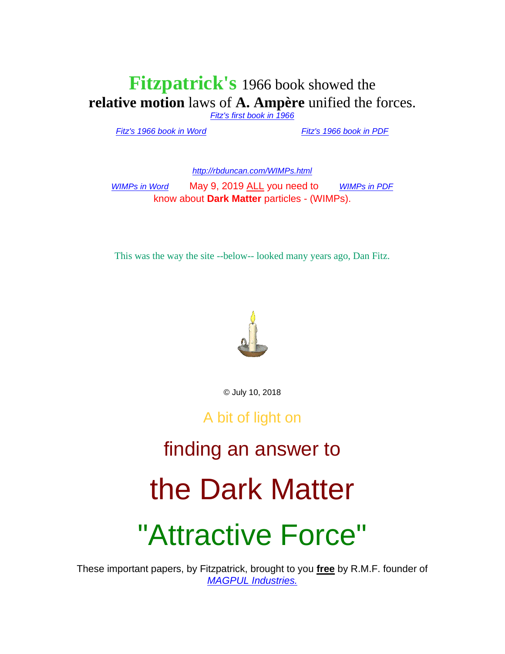#### **Fitzpatrick's** 1966 book showed the **relative motion** laws of **A. Ampère** unified the forces.

*[Fitz's first book in 1966](http://rbduncan.com/1966.html)*

*[Fitz's 1966 book in Word](http://rbduncan.com/1966.doc)* . . . . . . . . . . . *[Fitz's 1966 book in PDF](http://rbduncan.com/1966.pdf)*

*<http://rbduncan.com/WIMPs.html>*

*[WIMPs in Word](http://rbduncan.com/WIMPS.doc)* May 9, 2019 ALL you need to [WIMPs in PDF](http://rbduncan.com/WIMPs.pdf) know about **Dark Matter** particles - (WIMPs).

This was the way the site --below-- looked many years ago, Dan Fitz.



© July 10, 2018

A bit of light on

### finding an answer to

## the Dark Matter

## "Attractive Force"

These important papers, by Fitzpatrick, brought to you **free** by R.M.F. founder of *[MAGPUL Industries.](http://youtube.com/watch?v=ctPyeNZqFho)*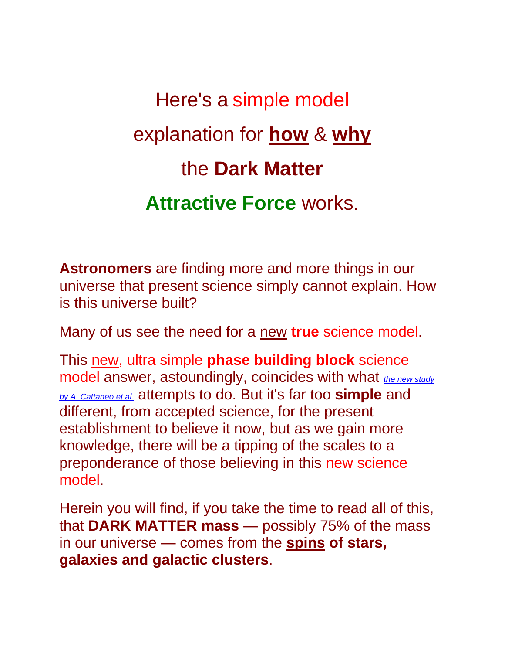Here's a simple model explanation for **how** & **why**  the **Dark Matter Attractive Force** works.

**Astronomers** are finding more and more things in our universe that present science simply cannot explain. How is this universe built?

Many of us see the need for a new **true** science model.

This new, ultra simple **phase building block** science model answer, astoundingly, coincides with what *[the new study](https://arxiv.org/abs/1706.07106/t_blank)  [by A. Cattaneo et al.](https://arxiv.org/abs/1706.07106/t_blank)* attempts to do. But it's far too **simple** and different, from accepted science, for the present establishment to believe it now, but as we gain more knowledge, there will be a tipping of the scales to a preponderance of those believing in this new science model.

Herein you will find, if you take the time to read all of this, that **DARK MATTER mass** — possibly 75% of the mass in our universe — comes from the **spins of stars, galaxies and galactic clusters**.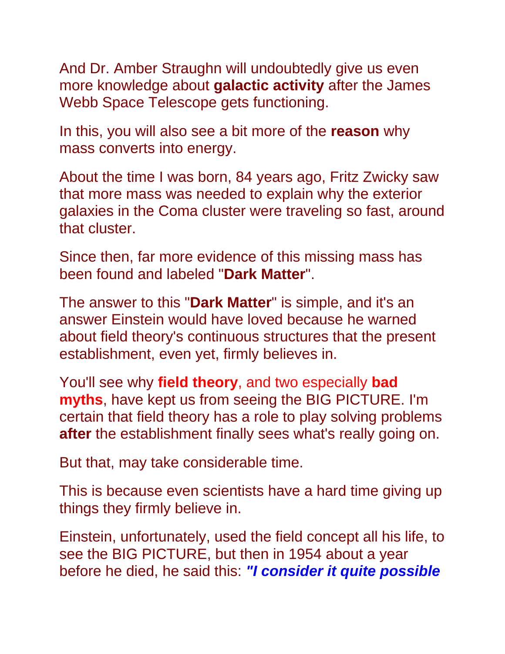And Dr. Amber Straughn will undoubtedly give us even more knowledge about **galactic activity** after the James Webb Space Telescope gets functioning.

In this, you will also see a bit more of the **reason** why mass converts into energy.

About the time I was born, 84 years ago, Fritz Zwicky saw that more mass was needed to explain why the exterior galaxies in the Coma cluster were traveling so fast, around that cluster.

Since then, far more evidence of this missing mass has been found and labeled "**Dark Matter**".

The answer to this "**Dark Matter**" is simple, and it's an answer Einstein would have loved because he warned about field theory's continuous structures that the present establishment, even yet, firmly believes in.

You'll see why **field theory**, and two especially **bad myths**, have kept us from seeing the BIG PICTURE. I'm certain that field theory has a role to play solving problems **after** the establishment finally sees what's really going on.

But that, may take considerable time.

This is because even scientists have a hard time giving up things they firmly believe in.

Einstein, unfortunately, used the field concept all his life, to see the BIG PICTURE, but then in 1954 about a year before he died, he said this: *"I consider it quite possible*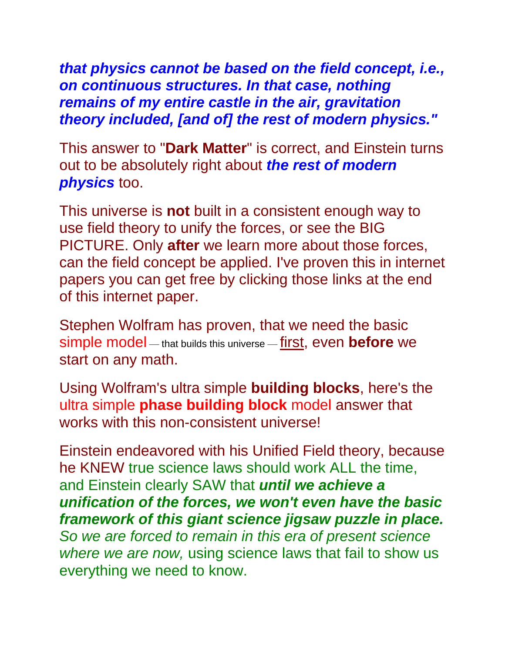*that physics cannot be based on the field concept, i.e., on continuous structures. In that case, nothing remains of my entire castle in the air, gravitation theory included, [and of] the rest of modern physics."*

This answer to "**Dark Matter**" is correct, and Einstein turns out to be absolutely right about *the rest of modern physics* too.

This universe is **not** built in a consistent enough way to use field theory to unify the forces, or see the BIG PICTURE. Only **after** we learn more about those forces, can the field concept be applied. I've proven this in internet papers you can get free by clicking those links at the end of this internet paper.

Stephen Wolfram has proven, that we need the basic simple model — that builds this universe — first, even **before** we start on any math.

Using Wolfram's ultra simple **building blocks**, here's the ultra simple **phase building block** model answer that works with this non-consistent universe!

Einstein endeavored with his Unified Field theory, because he KNEW true science laws should work ALL the time, and Einstein clearly SAW that *until we achieve a unification of the forces, we won't even have the basic framework of this giant science jigsaw puzzle in place. So we are forced to remain in this era of present science where we are now,* using science laws that fail to show us everything we need to know.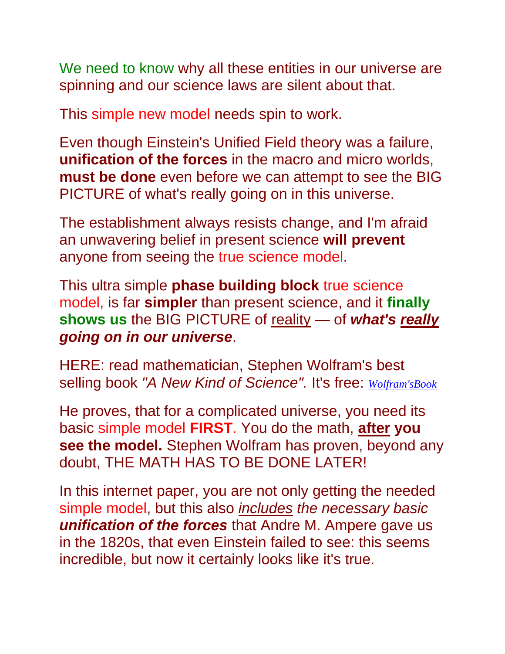We need to know why all these entities in our universe are spinning and our science laws are silent about that.

This simple new model needs spin to work.

Even though Einstein's Unified Field theory was a failure, **unification of the forces** in the macro and micro worlds, **must be done** even before we can attempt to see the BIG PICTURE of what's really going on in this universe.

The establishment always resists change, and I'm afraid an unwavering belief in present science **will prevent** anyone from seeing the true science model.

This ultra simple **phase building block** true science model, is far **simpler** than present science, and it **finally shows us** the BIG PICTURE of reality — of *what's really going on in our universe*.

HERE: read mathematician, Stephen Wolfram's best selling book *"A New Kind of Science".* It's free: *[Wolfram'sBook](http://www.wolframscience.com/)*

He proves, that for a complicated universe, you need its basic simple model **FIRST**. You do the math, **after you see the model.** Stephen Wolfram has proven, beyond any doubt, THE MATH HAS TO BE DONE LATER!

In this internet paper, you are not only getting the needed simple model, but this also *includes the necessary basic unification of the forces* that Andre M. Ampere gave us in the 1820s, that even Einstein failed to see: this seems incredible, but now it certainly looks like it's true.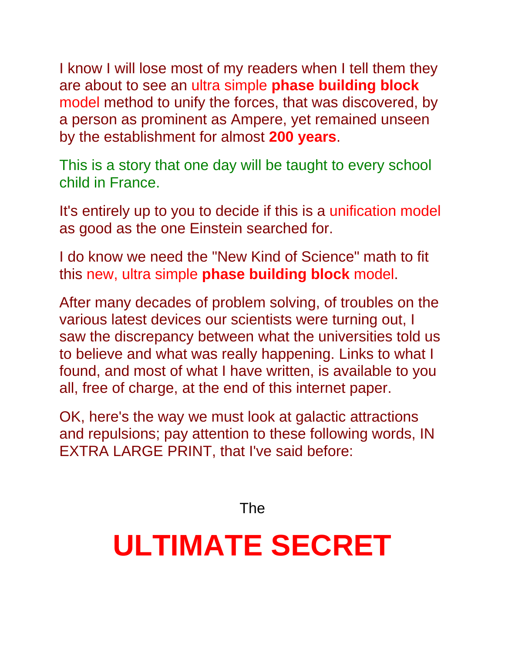I know I will lose most of my readers when I tell them they are about to see an ultra simple **phase building block** model method to unify the forces, that was discovered, by a person as prominent as Ampere, yet remained unseen by the establishment for almost **200 years**.

This is a story that one day will be taught to every school child in France.

It's entirely up to you to decide if this is a unification model as good as the one Einstein searched for.

I do know we need the "New Kind of Science" math to fit this new, ultra simple **phase building block** model.

After many decades of problem solving, of troubles on the various latest devices our scientists were turning out, I saw the discrepancy between what the universities told us to believe and what was really happening. Links to what I found, and most of what I have written, is available to you all, free of charge, at the end of this internet paper.

OK, here's the way we must look at galactic attractions and repulsions; pay attention to these following words, IN EXTRA LARGE PRINT, that I've said before:

The

# **ULTIMATE SECRET**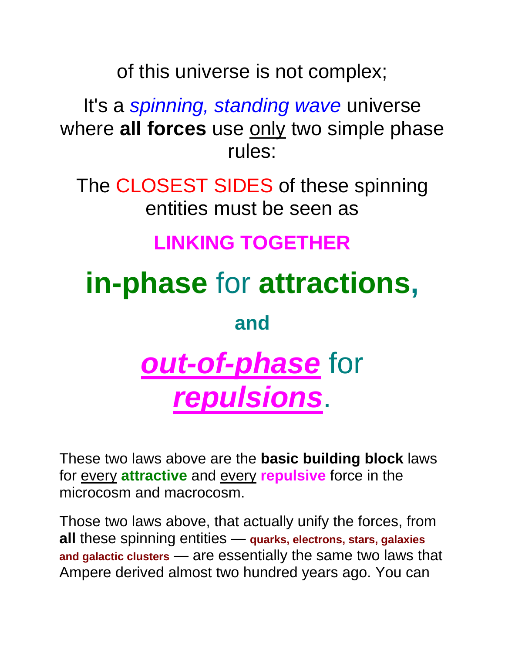of this universe is not complex;

It's a *spinning, standing wave* universe where **all forces** use only two simple phase rules:

The CLOSEST SIDES of these spinning entities must be seen as

### **LINKING TOGETHER**

**in-phase** for **attractions,**

**and**

# *out-of-phase* for *repulsions*.

These two laws above are the **basic building block** laws for every **attractive** and every **repulsive** force in the microcosm and macrocosm.

Those two laws above, that actually unify the forces, from **all** these spinning entities — **quarks, electrons, stars, galaxies and galactic clusters** — are essentially the same two laws that Ampere derived almost two hundred years ago. You can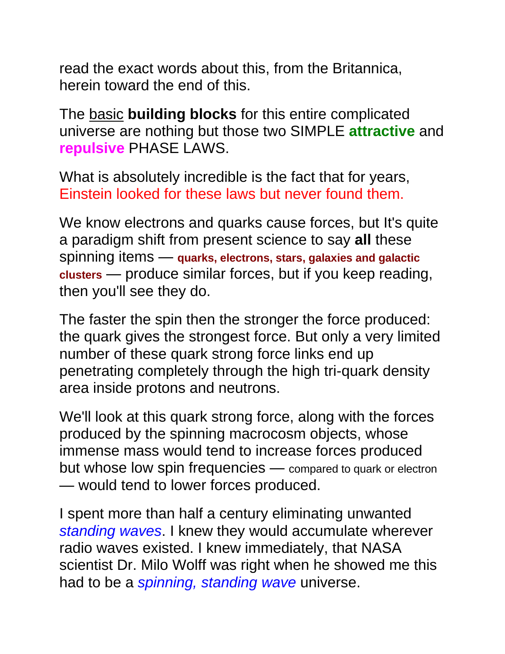read the exact words about this, from the Britannica, herein toward the end of this.

The basic **building blocks** for this entire complicated universe are nothing but those two SIMPLE **attractive** and **repulsive** PHASE LAWS.

What is absolutely incredible is the fact that for years, Einstein looked for these laws but never found them.

We know electrons and quarks cause forces, but It's quite a paradigm shift from present science to say **all** these spinning items — **quarks, electrons, stars, galaxies and galactic clusters** — produce similar forces, but if you keep reading, then you'll see they do.

The faster the spin then the stronger the force produced: the quark gives the strongest force. But only a very limited number of these quark strong force links end up penetrating completely through the high tri-quark density area inside protons and neutrons.

We'll look at this quark strong force, along with the forces produced by the spinning macrocosm objects, whose immense mass would tend to increase forces produced but whose low spin frequencies — compared to quark or electron — would tend to lower forces produced.

I spent more than half a century eliminating unwanted *standing waves*. I knew they would accumulate wherever radio waves existed. I knew immediately, that NASA scientist Dr. Milo Wolff was right when he showed me this had to be a *spinning, standing wave* universe.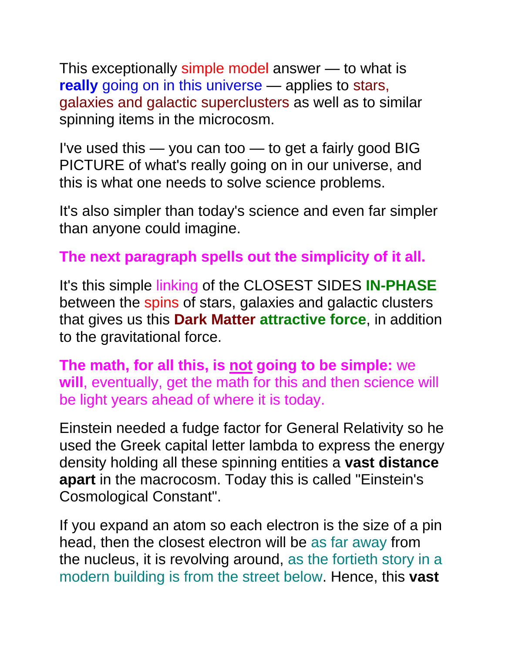This exceptionally simple model answer — to what is **really** going on in this universe — applies to stars, galaxies and galactic superclusters as well as to similar spinning items in the microcosm.

I've used this — you can too — to get a fairly good BIG PICTURE of what's really going on in our universe, and this is what one needs to solve science problems.

It's also simpler than today's science and even far simpler than anyone could imagine.

#### **The next paragraph spells out the simplicity of it all.**

It's this simple linking of the CLOSEST SIDES **IN-PHASE**  between the spins of stars, galaxies and galactic clusters that gives us this **Dark Matter attractive force**, in addition to the gravitational force.

**The math, for all this, is not going to be simple:** we **will**, eventually, get the math for this and then science will be light years ahead of where it is today.

Einstein needed a fudge factor for General Relativity so he used the Greek capital letter lambda to express the energy density holding all these spinning entities a **vast distance apart** in the macrocosm. Today this is called "Einstein's Cosmological Constant".

If you expand an atom so each electron is the size of a pin head, then the closest electron will be as far away from the nucleus, it is revolving around, as the fortieth story in a modern building is from the street below. Hence, this **vast**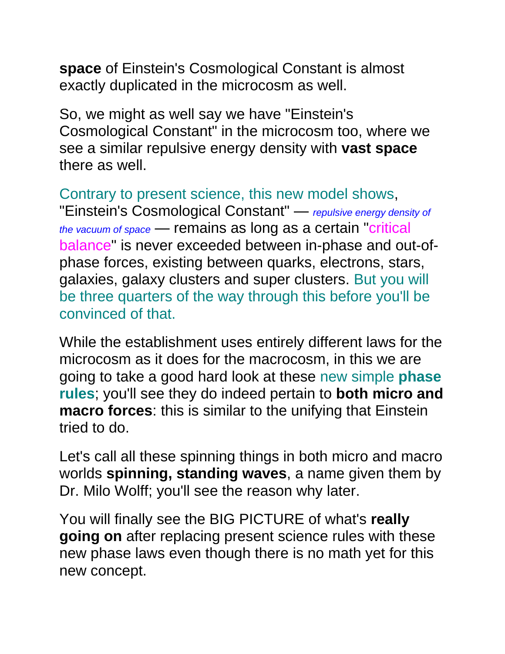**space** of Einstein's Cosmological Constant is almost exactly duplicated in the microcosm as well.

So, we might as well say we have "Einstein's Cosmological Constant" in the microcosm too, where we see a similar repulsive energy density with **vast space** there as well.

Contrary to present science, this new model shows, "Einstein's Cosmological Constant" — *repulsive energy density of the vacuum of space* — remains as long as a certain "critical balance" is never exceeded between in-phase and out-ofphase forces, existing between quarks, electrons, stars, galaxies, galaxy clusters and super clusters. But you will be three quarters of the way through this before you'll be convinced of that.

While the establishment uses entirely different laws for the microcosm as it does for the macrocosm, in this we are going to take a good hard look at these new simple **phase rules**; you'll see they do indeed pertain to **both micro and macro forces**: this is similar to the unifying that Einstein tried to do.

Let's call all these spinning things in both micro and macro worlds **spinning, standing waves**, a name given them by Dr. Milo Wolff; you'll see the reason why later.

You will finally see the BIG PICTURE of what's **really going on** after replacing present science rules with these new phase laws even though there is no math yet for this new concept.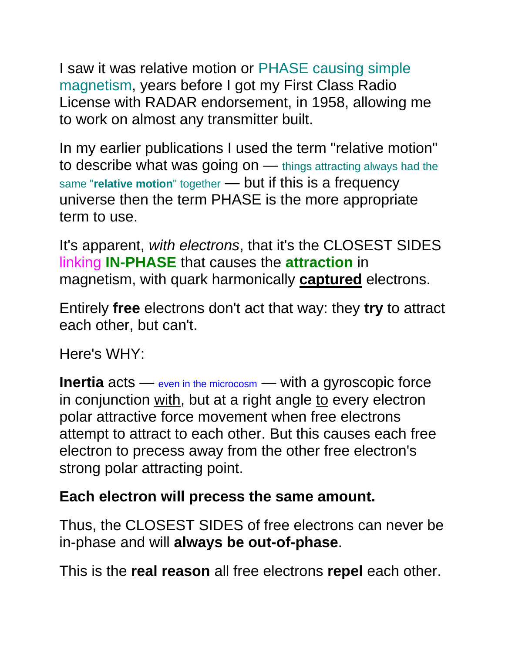I saw it was relative motion or PHASE causing simple magnetism, years before I got my First Class Radio License with RADAR endorsement, in 1958, allowing me to work on almost any transmitter built.

In my earlier publications I used the term "relative motion" to describe what was going on — things attracting always had the same "relative motion" together - but if this is a frequency universe then the term PHASE is the more appropriate term to use.

It's apparent, *with electrons*, that it's the CLOSEST SIDES linking **IN-PHASE** that causes the **attraction** in magnetism, with quark harmonically **captured** electrons.

Entirely **free** electrons don't act that way: they **try** to attract each other, but can't.

Here's WHY:

**Inertia** acts — even in the microcosm — with a gyroscopic force in conjunction with, but at a right angle to every electron polar attractive force movement when free electrons attempt to attract to each other. But this causes each free electron to precess away from the other free electron's strong polar attracting point.

#### **Each electron will precess the same amount.**

Thus, the CLOSEST SIDES of free electrons can never be in-phase and will **always be out-of-phase**.

This is the **real reason** all free electrons **repel** each other.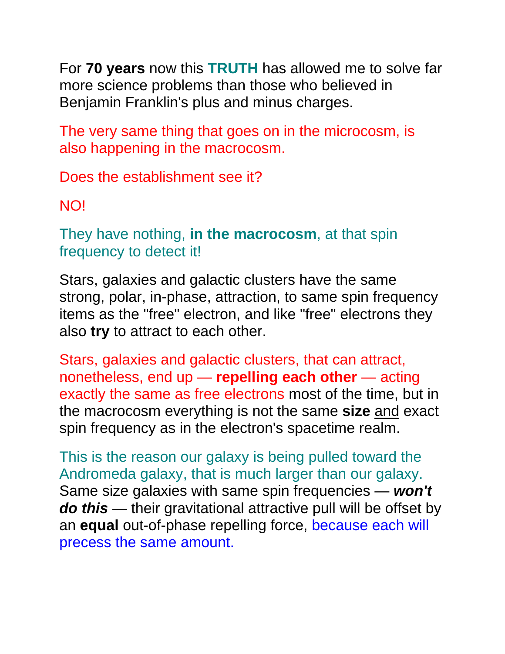For **70 years** now this **TRUTH** has allowed me to solve far more science problems than those who believed in Benjamin Franklin's plus and minus charges.

The very same thing that goes on in the microcosm, is also happening in the macrocosm.

Does the establishment see it?

NO!

They have nothing, **in the macrocosm**, at that spin frequency to detect it!

Stars, galaxies and galactic clusters have the same strong, polar, in-phase, attraction, to same spin frequency items as the "free" electron, and like "free" electrons they also **try** to attract to each other.

Stars, galaxies and galactic clusters, that can attract, nonetheless, end up — **repelling each other** — acting exactly the same as free electrons most of the time, but in the macrocosm everything is not the same **size** and exact spin frequency as in the electron's spacetime realm.

This is the reason our galaxy is being pulled toward the Andromeda galaxy, that is much larger than our galaxy. Same size galaxies with same spin frequencies — *won't do this* — their gravitational attractive pull will be offset by an **equal** out-of-phase repelling force, because each will precess the same amount.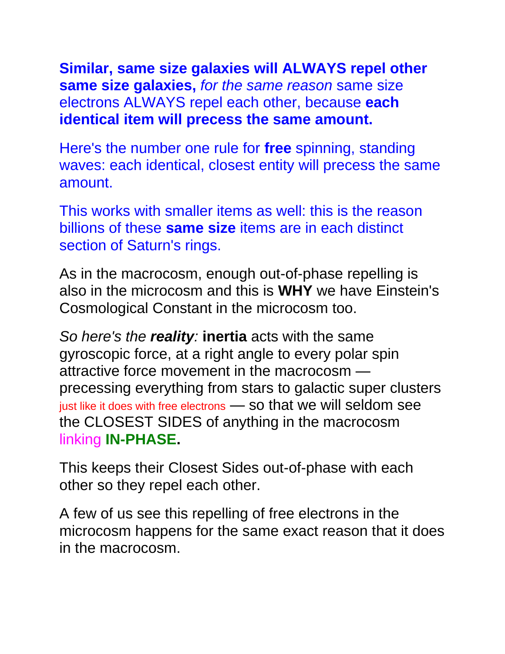**Similar, same size galaxies will ALWAYS repel other same size galaxies,** *for the same reason* same size electrons ALWAYS repel each other, because **each identical item will precess the same amount.**

Here's the number one rule for **free** spinning, standing waves: each identical, closest entity will precess the same amount.

This works with smaller items as well: this is the reason billions of these **same size** items are in each distinct section of Saturn's rings.

As in the macrocosm, enough out-of-phase repelling is also in the microcosm and this is **WHY** we have Einstein's Cosmological Constant in the microcosm too.

*So here's the reality:* **inertia** acts with the same gyroscopic force, at a right angle to every polar spin attractive force movement in the macrocosm precessing everything from stars to galactic super clusters just like it does with free electrons — so that we will seldom see the CLOSEST SIDES of anything in the macrocosm linking **IN-PHASE.**

This keeps their Closest Sides out-of-phase with each other so they repel each other.

A few of us see this repelling of free electrons in the microcosm happens for the same exact reason that it does in the macrocosm.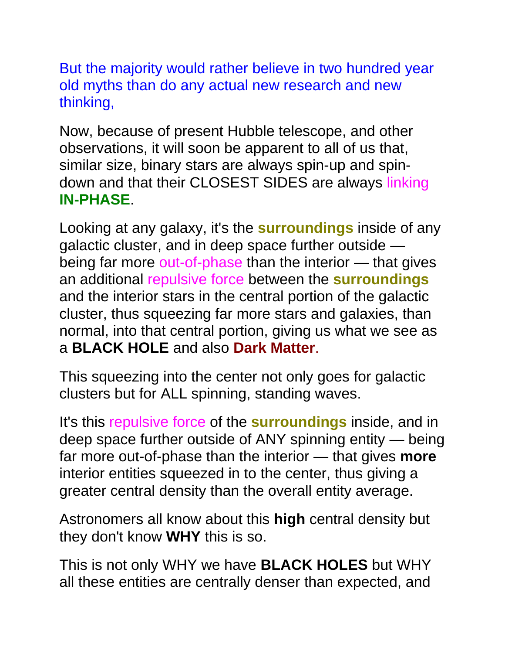But the majority would rather believe in two hundred year old myths than do any actual new research and new thinking,

Now, because of present Hubble telescope, and other observations, it will soon be apparent to all of us that, similar size, binary stars are always spin-up and spindown and that their CLOSEST SIDES are always linking **IN-PHASE**.

Looking at any galaxy, it's the **surroundings** inside of any galactic cluster, and in deep space further outside being far more out-of-phase than the interior — that gives an additional repulsive force between the **surroundings** and the interior stars in the central portion of the galactic cluster, thus squeezing far more stars and galaxies, than normal, into that central portion, giving us what we see as a **BLACK HOLE** and also **Dark Matter**.

This squeezing into the center not only goes for galactic clusters but for ALL spinning, standing waves.

It's this repulsive force of the **surroundings** inside, and in deep space further outside of ANY spinning entity — being far more out-of-phase than the interior — that gives **more** interior entities squeezed in to the center, thus giving a greater central density than the overall entity average.

Astronomers all know about this **high** central density but they don't know **WHY** this is so.

This is not only WHY we have **BLACK HOLES** but WHY all these entities are centrally denser than expected, and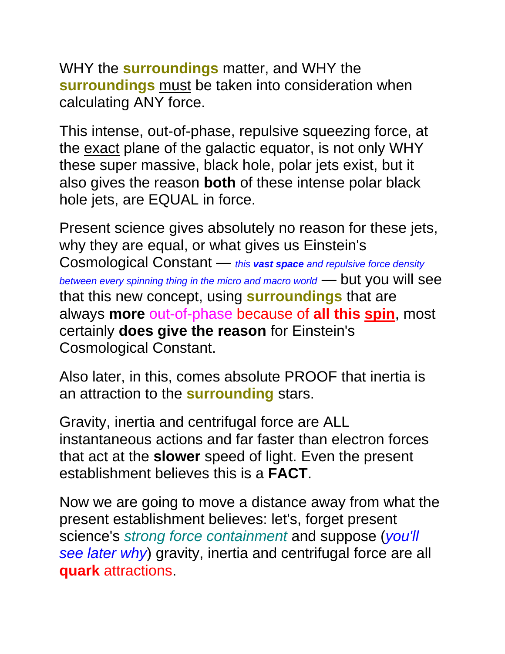WHY the **surroundings** matter, and WHY the **surroundings** must be taken into consideration when calculating ANY force.

This intense, out-of-phase, repulsive squeezing force, at the exact plane of the galactic equator, is not only WHY these super massive, black hole, polar jets exist, but it also gives the reason **both** of these intense polar black hole jets, are EQUAL in force.

Present science gives absolutely no reason for these jets, why they are equal, or what gives us Einstein's Cosmological Constant — *this vast space and repulsive force density between every spinning thing in the micro and macro world* — but you will see that this new concept, using **surroundings** that are always **more** out-of-phase because of **all this spin**, most certainly **does give the reason** for Einstein's Cosmological Constant.

Also later, in this, comes absolute PROOF that inertia is an attraction to the **surrounding** stars.

Gravity, inertia and centrifugal force are ALL instantaneous actions and far faster than electron forces that act at the **slower** speed of light. Even the present establishment believes this is a **FACT**.

Now we are going to move a distance away from what the present establishment believes: let's, forget present science's *strong force containment* and suppose (*you'll see later why*) gravity, inertia and centrifugal force are all **quark** attractions.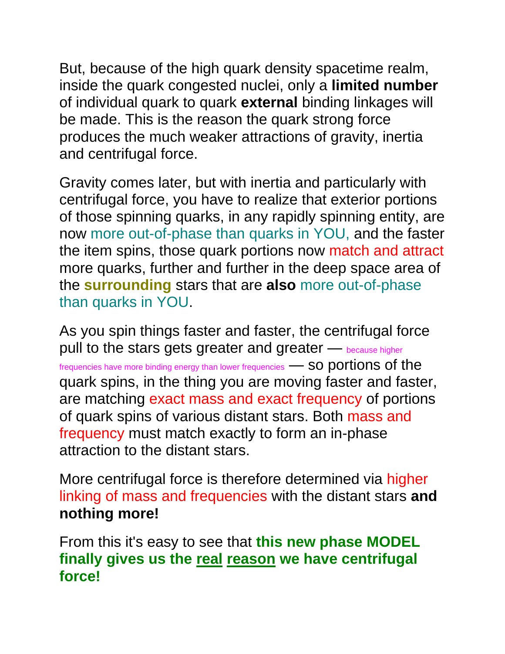But, because of the high quark density spacetime realm, inside the quark congested nuclei, only a **limited number** of individual quark to quark **external** binding linkages will be made. This is the reason the quark strong force produces the much weaker attractions of gravity, inertia and centrifugal force.

Gravity comes later, but with inertia and particularly with centrifugal force, you have to realize that exterior portions of those spinning quarks, in any rapidly spinning entity, are now more out-of-phase than quarks in YOU, and the faster the item spins, those quark portions now match and attract more quarks, further and further in the deep space area of the **surrounding** stars that are **also** more out-of-phase than quarks in YOU.

As you spin things faster and faster, the centrifugal force pull to the stars gets greater and greater — because higher frequencies have more binding energy than lower frequencies **- SO portions of the** quark spins, in the thing you are moving faster and faster, are matching exact mass and exact frequency of portions of quark spins of various distant stars. Both mass and frequency must match exactly to form an in-phase attraction to the distant stars.

More centrifugal force is therefore determined via higher linking of mass and frequencies with the distant stars **and nothing more!**

From this it's easy to see that **this new phase MODEL finally gives us the real reason we have centrifugal force!**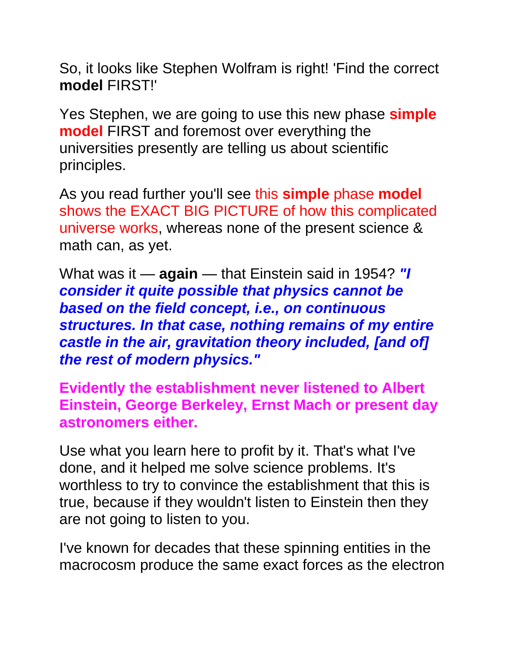So, it looks like Stephen Wolfram is right! 'Find the correct **model** FIRST!'

Yes Stephen, we are going to use this new phase **simple model** FIRST and foremost over everything the universities presently are telling us about scientific principles.

As you read further you'll see this **simple** phase **model** shows the EXACT BIG PICTURE of how this complicated universe works, whereas none of the present science & math can, as yet.

What was it — **again** — that Einstein said in 1954? *"I consider it quite possible that physics cannot be based on the field concept, i.e., on continuous structures. In that case, nothing remains of my entire castle in the air, gravitation theory included, [and of] the rest of modern physics."*

**Evidently the establishment never listened to Albert Einstein, George Berkeley, Ernst Mach or present day astronomers either.**

Use what you learn here to profit by it. That's what I've done, and it helped me solve science problems. It's worthless to try to convince the establishment that this is true, because if they wouldn't listen to Einstein then they are not going to listen to you.

I've known for decades that these spinning entities in the macrocosm produce the same exact forces as the electron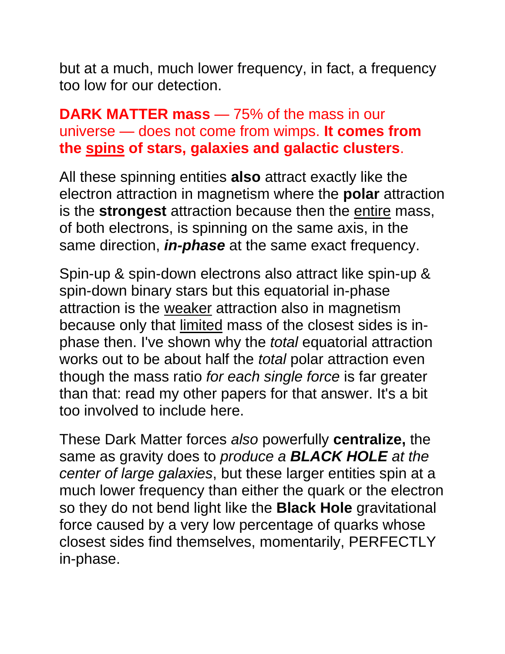but at a much, much lower frequency, in fact, a frequency too low for our detection.

#### **DARK MATTER mass** — 75% of the mass in our universe — does not come from wimps. **It comes from the spins of stars, galaxies and galactic clusters**.

All these spinning entities **also** attract exactly like the electron attraction in magnetism where the **polar** attraction is the **strongest** attraction because then the entire mass, of both electrons, is spinning on the same axis, in the same direction, *in-phase* at the same exact frequency.

Spin-up & spin-down electrons also attract like spin-up & spin-down binary stars but this equatorial in-phase attraction is the weaker attraction also in magnetism because only that limited mass of the closest sides is inphase then. I've shown why the *total* equatorial attraction works out to be about half the *total* polar attraction even though the mass ratio *for each single force* is far greater than that: read my other papers for that answer. It's a bit too involved to include here.

These Dark Matter forces *also* powerfully **centralize,** the same as gravity does to *produce a BLACK HOLE at the center of large galaxies*, but these larger entities spin at a much lower frequency than either the quark or the electron so they do not bend light like the **Black Hole** gravitational force caused by a very low percentage of quarks whose closest sides find themselves, momentarily, PERFECTLY in-phase.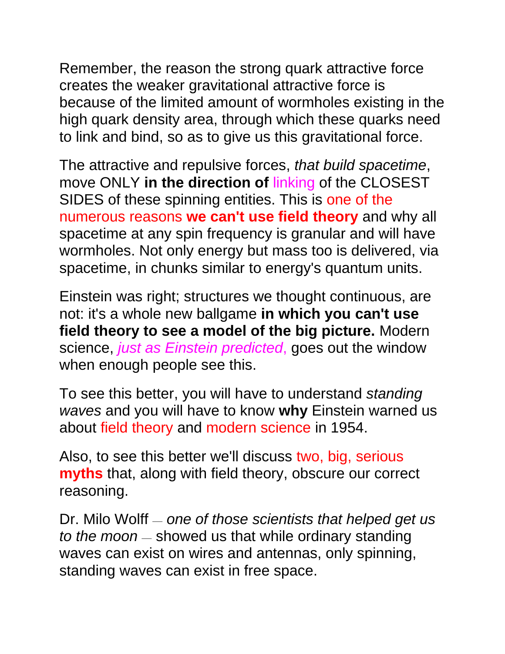Remember, the reason the strong quark attractive force creates the weaker gravitational attractive force is because of the limited amount of wormholes existing in the high quark density area, through which these quarks need to link and bind, so as to give us this gravitational force.

The attractive and repulsive forces, *that build spacetime*, move ONLY **in the direction of** linking of the CLOSEST SIDES of these spinning entities. This is one of the numerous reasons **we can't use field theory** and why all spacetime at any spin frequency is granular and will have wormholes. Not only energy but mass too is delivered, via spacetime, in chunks similar to energy's quantum units.

Einstein was right; structures we thought continuous, are not: it's a whole new ballgame **in which you can't use field theory to see a model of the big picture.** Modern science, *just as Einstein predicted*, goes out the window when enough people see this.

To see this better, you will have to understand *standing waves* and you will have to know **why** Einstein warned us about field theory and modern science in 1954.

Also, to see this better we'll discuss two, big, serious **myths** that, along with field theory, obscure our correct reasoning.

Dr. Milo Wolff — *one of those scientists that helped get us to the moon* — showed us that while ordinary standing waves can exist on wires and antennas, only spinning, standing waves can exist in free space.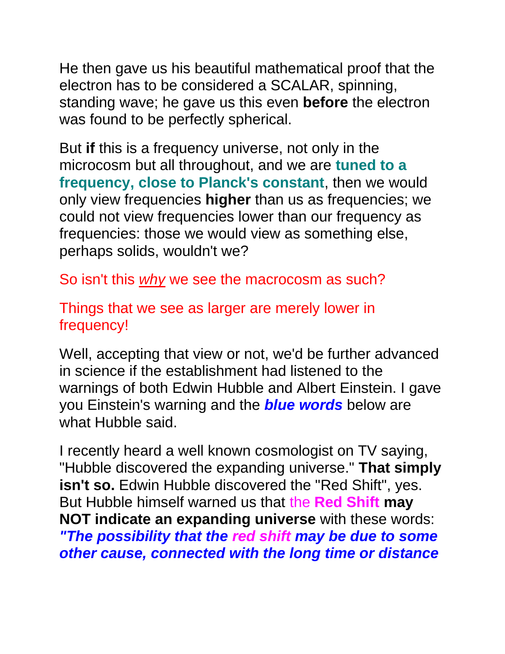He then gave us his beautiful mathematical proof that the electron has to be considered a SCALAR, spinning, standing wave; he gave us this even **before** the electron was found to be perfectly spherical.

But **if** this is a frequency universe, not only in the microcosm but all throughout, and we are **tuned to a frequency, close to Planck's constant**, then we would only view frequencies **higher** than us as frequencies; we could not view frequencies lower than our frequency as frequencies: those we would view as something else, perhaps solids, wouldn't we?

So isn't this *why* we see the macrocosm as such?

Things that we see as larger are merely lower in frequency!

Well, accepting that view or not, we'd be further advanced in science if the establishment had listened to the warnings of both Edwin Hubble and Albert Einstein. I gave you Einstein's warning and the *blue words* below are what Hubble said.

I recently heard a well known cosmologist on TV saying, "Hubble discovered the expanding universe." **That simply**  isn't so. Edwin Hubble discovered the "Red Shift", yes. But Hubble himself warned us that the **Red Shift may NOT indicate an expanding universe** with these words: *"The possibility that the red shift may be due to some other cause, connected with the long time or distance*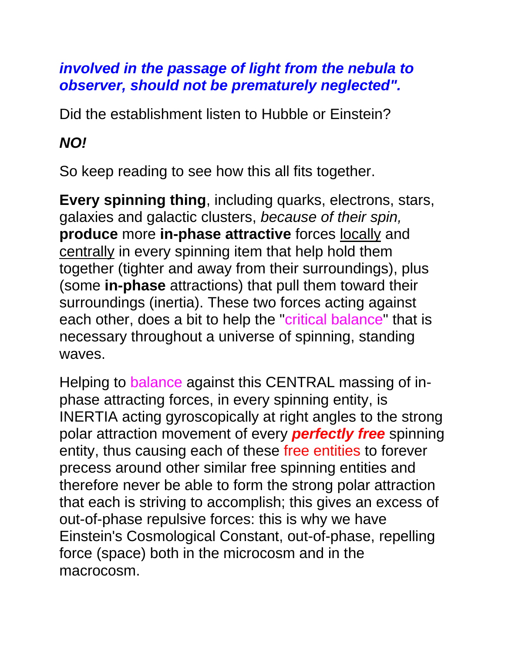#### *involved in the passage of light from the nebula to observer, should not be prematurely neglected".*

Did the establishment listen to Hubble or Einstein?

#### *NO!*

So keep reading to see how this all fits together.

**Every spinning thing**, including quarks, electrons, stars, galaxies and galactic clusters, *because of their spin,* **produce** more **in-phase attractive** forces locally and centrally in every spinning item that help hold them together (tighter and away from their surroundings), plus (some **in-phase** attractions) that pull them toward their surroundings (inertia). These two forces acting against each other, does a bit to help the "critical balance" that is necessary throughout a universe of spinning, standing waves.

Helping to balance against this CENTRAL massing of inphase attracting forces, in every spinning entity, is INERTIA acting gyroscopically at right angles to the strong polar attraction movement of every *perfectly free* spinning entity, thus causing each of these free entities to forever precess around other similar free spinning entities and therefore never be able to form the strong polar attraction that each is striving to accomplish; this gives an excess of out-of-phase repulsive forces: this is why we have Einstein's Cosmological Constant, out-of-phase, repelling force (space) both in the microcosm and in the macrocosm.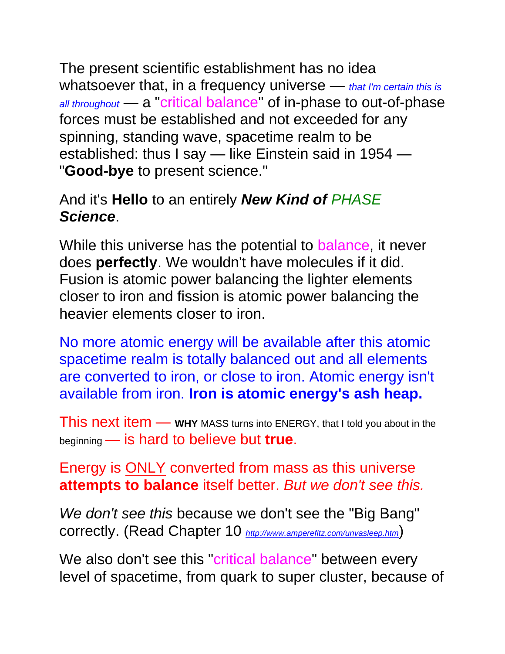The present scientific establishment has no idea whatsoever that, in a frequency universe — *that I'm certain this is all throughout* — a "critical balance" of in-phase to out-of-phase forces must be established and not exceeded for any spinning, standing wave, spacetime realm to be established: thus I say — like Einstein said in 1954 — "**Good-bye** to present science."

#### And it's **Hello** to an entirely *New Kind of PHASE Science*.

While this universe has the potential to balance, it never does **perfectly**. We wouldn't have molecules if it did. Fusion is atomic power balancing the lighter elements closer to iron and fission is atomic power balancing the heavier elements closer to iron.

No more atomic energy will be available after this atomic spacetime realm is totally balanced out and all elements are converted to iron, or close to iron. Atomic energy isn't available from iron. **Iron is atomic energy's ash heap.**

This next item — **WHY** MASS turns into ENERGY, that I told you about in the beginning — is hard to believe but **true**.

Energy is ONLY converted from mass as this universe **attempts to balance** itself better. *But we don't see this.*

*We don't see this* because we don't see the "Big Bang" correctly. (Read Chapter 10 *<http://www.amperefitz.com/unvasleep.htm>*)

We also don't see this "critical balance" between every level of spacetime, from quark to super cluster, because of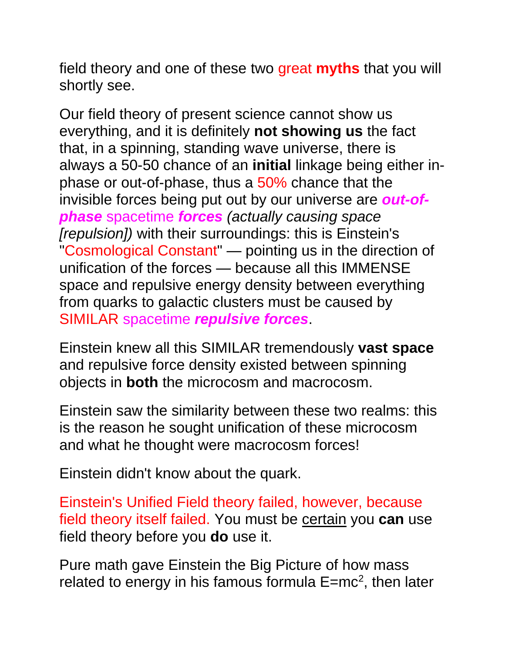field theory and one of these two great **myths** that you will shortly see.

Our field theory of present science cannot show us everything, and it is definitely **not showing us** the fact that, in a spinning, standing wave universe, there is always a 50-50 chance of an **initial** linkage being either inphase or out-of-phase, thus a 50% chance that the invisible forces being put out by our universe are *out-ofphase* spacetime *forces (actually causing space [repulsion])* with their surroundings: this is Einstein's "Cosmological Constant" — pointing us in the direction of unification of the forces — because all this IMMENSE space and repulsive energy density between everything from quarks to galactic clusters must be caused by SIMILAR spacetime *repulsive forces*.

Einstein knew all this SIMILAR tremendously **vast space** and repulsive force density existed between spinning objects in **both** the microcosm and macrocosm.

Einstein saw the similarity between these two realms: this is the reason he sought unification of these microcosm and what he thought were macrocosm forces!

Einstein didn't know about the quark.

Einstein's Unified Field theory failed, however, because field theory itself failed. You must be certain you **can** use field theory before you **do** use it.

Pure math gave Einstein the Big Picture of how mass related to energy in his famous formula  $E=mc^2$ , then later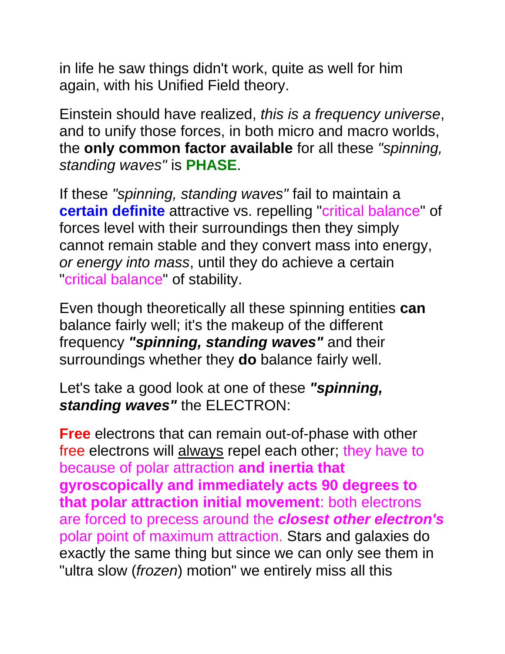in life he saw things didn't work, quite as well for him again, with his Unified Field theory.

Einstein should have realized, *this is a frequency universe*, and to unify those forces, in both micro and macro worlds, the **only common factor available** for all these *"spinning, standing waves"* is **PHASE**.

If these *"spinning, standing waves"* fail to maintain a **certain definite** attractive vs. repelling "critical balance" of forces level with their surroundings then they simply cannot remain stable and they convert mass into energy, *or energy into mass*, until they do achieve a certain "critical balance" of stability.

Even though theoretically all these spinning entities **can** balance fairly well; it's the makeup of the different frequency *"spinning, standing waves"* and their surroundings whether they **do** balance fairly well.

Let's take a good look at one of these *"spinning, standing waves"* the ELECTRON:

**Free** electrons that can remain out-of-phase with other free electrons will always repel each other; they have to because of polar attraction **and inertia that gyroscopically and immediately acts 90 degrees to that polar attraction initial movement**: both electrons are forced to precess around the *closest other electron's* polar point of maximum attraction. Stars and galaxies do exactly the same thing but since we can only see them in "ultra slow (*frozen*) motion" we entirely miss all this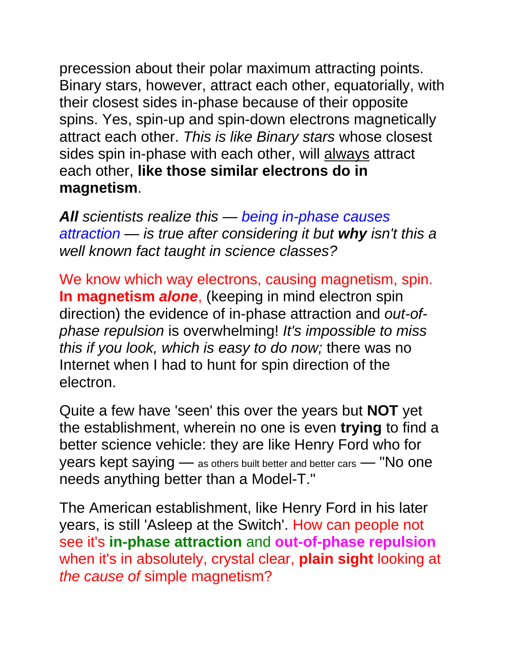precession about their polar maximum attracting points. Binary stars, however, attract each other, equatorially, with their closest sides in-phase because of their opposite spins. Yes, spin-up and spin-down electrons magnetically attract each other. *This is like Binary stars* whose closest sides spin in-phase with each other, will always attract each other, **like those similar electrons do in magnetism**.

*All scientists realize this — being in-phase causes attraction — is true after considering it but why isn't this a well known fact taught in science classes?*

We know which way electrons, causing magnetism, spin. **In magnetism** *alone*, (keeping in mind electron spin direction) the evidence of in-phase attraction and *out-ofphase repulsion* is overwhelming! *It's impossible to miss this if you look, which is easy to do now;* there was no Internet when I had to hunt for spin direction of the electron.

Quite a few have 'seen' this over the years but **NOT** yet the establishment, wherein no one is even **trying** to find a better science vehicle: they are like Henry Ford who for years kept saying — as others built better and better cars — "No one needs anything better than a Model-T."

The American establishment, like Henry Ford in his later years, is still 'Asleep at the Switch'. How can people not see it's **in-phase attraction** and **out-of-phase repulsion** when it's in absolutely, crystal clear, **plain sight** looking at *the cause of* simple magnetism?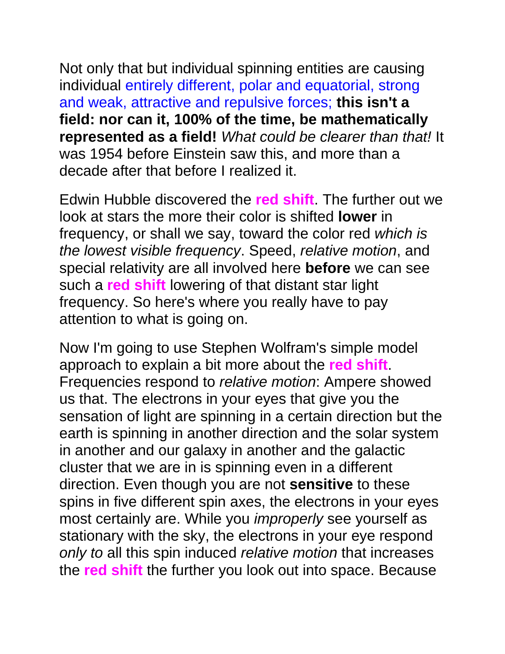Not only that but individual spinning entities are causing individual entirely different, polar and equatorial, strong and weak, attractive and repulsive forces; **this isn't a field: nor can it, 100% of the time, be mathematically represented as a field!** *What could be clearer than that!* It was 1954 before Einstein saw this, and more than a decade after that before I realized it.

Edwin Hubble discovered the **red shift**. The further out we look at stars the more their color is shifted **lower** in frequency, or shall we say, toward the color red *which is the lowest visible frequency*. Speed, *relative motion*, and special relativity are all involved here **before** we can see such a **red shift** lowering of that distant star light frequency. So here's where you really have to pay attention to what is going on.

Now I'm going to use Stephen Wolfram's simple model approach to explain a bit more about the **red shift**. Frequencies respond to *relative motion*: Ampere showed us that. The electrons in your eyes that give you the sensation of light are spinning in a certain direction but the earth is spinning in another direction and the solar system in another and our galaxy in another and the galactic cluster that we are in is spinning even in a different direction. Even though you are not **sensitive** to these spins in five different spin axes, the electrons in your eyes most certainly are. While you *improperly* see yourself as stationary with the sky, the electrons in your eye respond *only to* all this spin induced *relative motion* that increases the **red shift** the further you look out into space. Because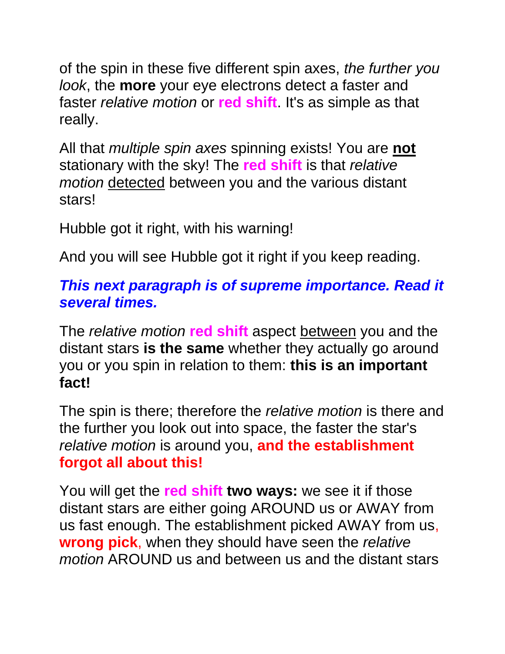of the spin in these five different spin axes, *the further you look*, the **more** your eye electrons detect a faster and faster *relative motion* or **red shift**. It's as simple as that really.

All that *multiple spin axes* spinning exists! You are **not** stationary with the sky! The **red shift** is that *relative motion* detected between you and the various distant stars!

Hubble got it right, with his warning!

And you will see Hubble got it right if you keep reading.

#### *This next paragraph is of supreme importance. Read it several times.*

The *relative motion* **red shift** aspect between you and the distant stars **is the same** whether they actually go around you or you spin in relation to them: **this is an important fact!**

The spin is there; therefore the *relative motion* is there and the further you look out into space, the faster the star's *relative motion* is around you, **and the establishment forgot all about this!**

You will get the **red shift two ways:** we see it if those distant stars are either going AROUND us or AWAY from us fast enough. The establishment picked AWAY from us, **wrong pick**, when they should have seen the *relative motion* AROUND us and between us and the distant stars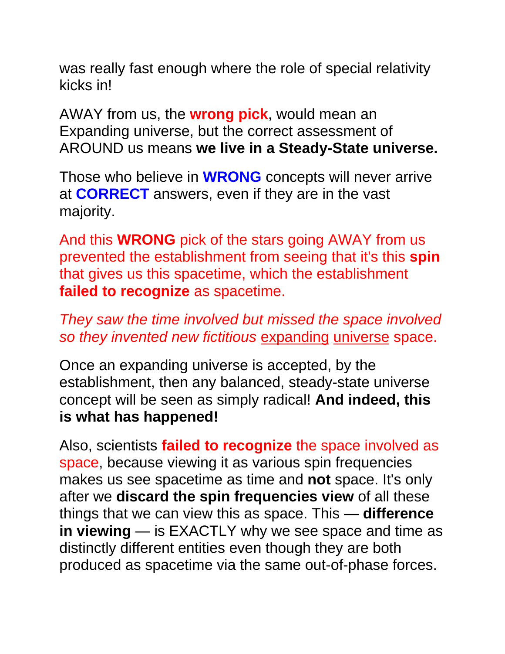was really fast enough where the role of special relativity kicks in!

AWAY from us, the **wrong pick**, would mean an Expanding universe, but the correct assessment of AROUND us means **we live in a Steady-State universe.**

Those who believe in **WRONG** concepts will never arrive at **CORRECT** answers, even if they are in the vast majority.

And this **WRONG** pick of the stars going AWAY from us prevented the establishment from seeing that it's this **spin** that gives us this spacetime, which the establishment **failed to recognize** as spacetime.

*They saw the time involved but missed the space involved so they invented new fictitious* expanding universe space.

Once an expanding universe is accepted, by the establishment, then any balanced, steady-state universe concept will be seen as simply radical! **And indeed, this is what has happened!**

Also, scientists **failed to recognize** the space involved as space, because viewing it as various spin frequencies makes us see spacetime as time and **not** space. It's only after we **discard the spin frequencies view** of all these things that we can view this as space. This — **difference in viewing** — is EXACTLY why we see space and time as distinctly different entities even though they are both produced as spacetime via the same out-of-phase forces.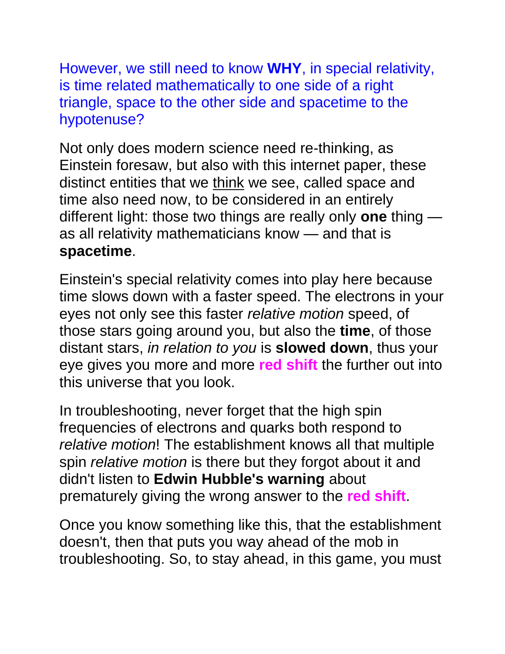However, we still need to know **WHY**, in special relativity, is time related mathematically to one side of a right triangle, space to the other side and spacetime to the hypotenuse?

Not only does modern science need re-thinking, as Einstein foresaw, but also with this internet paper, these distinct entities that we think we see, called space and time also need now, to be considered in an entirely different light: those two things are really only **one** thing as all relativity mathematicians know — and that is **spacetime**.

Einstein's special relativity comes into play here because time slows down with a faster speed. The electrons in your eyes not only see this faster *relative motion* speed, of those stars going around you, but also the **time**, of those distant stars, *in relation to you* is **slowed down**, thus your eye gives you more and more **red shift** the further out into this universe that you look.

In troubleshooting, never forget that the high spin frequencies of electrons and quarks both respond to *relative motion*! The establishment knows all that multiple spin *relative motion* is there but they forgot about it and didn't listen to **Edwin Hubble's warning** about prematurely giving the wrong answer to the **red shift**.

Once you know something like this, that the establishment doesn't, then that puts you way ahead of the mob in troubleshooting. So, to stay ahead, in this game, you must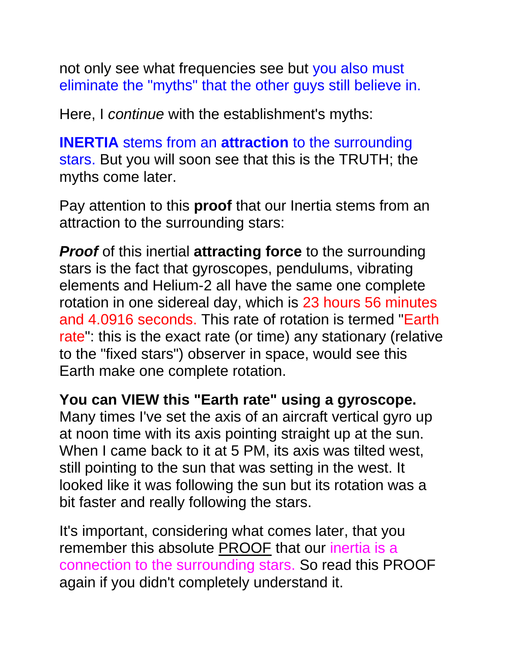not only see what frequencies see but you also must eliminate the "myths" that the other guys still believe in.

Here, I *continue* with the establishment's myths:

**INERTIA** stems from an **attraction** to the surrounding stars. But you will soon see that this is the TRUTH; the myths come later.

Pay attention to this **proof** that our Inertia stems from an attraction to the surrounding stars:

*Proof* of this inertial **attracting force** to the surrounding stars is the fact that gyroscopes, pendulums, vibrating elements and Helium-2 all have the same one complete rotation in one sidereal day, which is 23 hours 56 minutes and 4.0916 seconds. This rate of rotation is termed "Earth rate": this is the exact rate (or time) any stationary (relative to the "fixed stars") observer in space, would see this Earth make one complete rotation.

**You can VIEW this "Earth rate" using a gyroscope.**  Many times I've set the axis of an aircraft vertical gyro up at noon time with its axis pointing straight up at the sun. When I came back to it at 5 PM, its axis was tilted west, still pointing to the sun that was setting in the west. It looked like it was following the sun but its rotation was a bit faster and really following the stars.

It's important, considering what comes later, that you remember this absolute PROOF that our inertia is a connection to the surrounding stars. So read this PROOF again if you didn't completely understand it.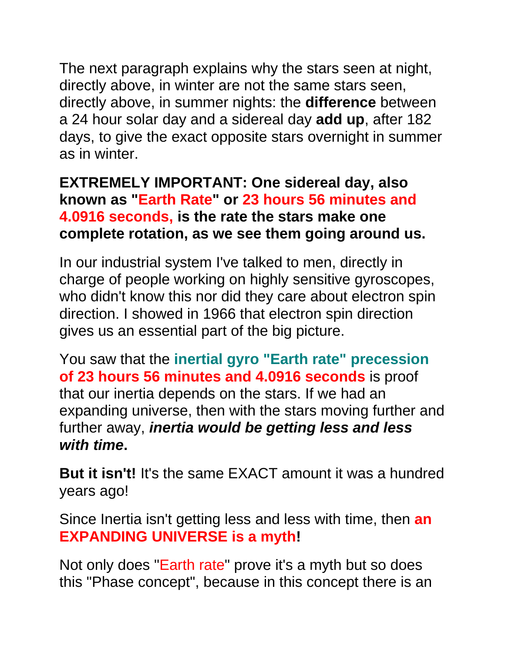The next paragraph explains why the stars seen at night, directly above, in winter are not the same stars seen, directly above, in summer nights: the **difference** between a 24 hour solar day and a sidereal day **add up**, after 182 days, to give the exact opposite stars overnight in summer as in winter.

#### **EXTREMELY IMPORTANT: One sidereal day, also known as "Earth Rate" or 23 hours 56 minutes and 4.0916 seconds, is the rate the stars make one complete rotation, as we see them going around us.**

In our industrial system I've talked to men, directly in charge of people working on highly sensitive gyroscopes, who didn't know this nor did they care about electron spin direction. I showed in 1966 that electron spin direction gives us an essential part of the big picture.

You saw that the **inertial gyro "Earth rate" precession of 23 hours 56 minutes and 4.0916 seconds** is proof that our inertia depends on the stars. If we had an expanding universe, then with the stars moving further and further away, *inertia would be getting less and less with time***.**

**But it isn't!** It's the same EXACT amount it was a hundred years ago!

Since Inertia isn't getting less and less with time, then **an EXPANDING UNIVERSE is a myth!**

Not only does "Earth rate" prove it's a myth but so does this "Phase concept", because in this concept there is an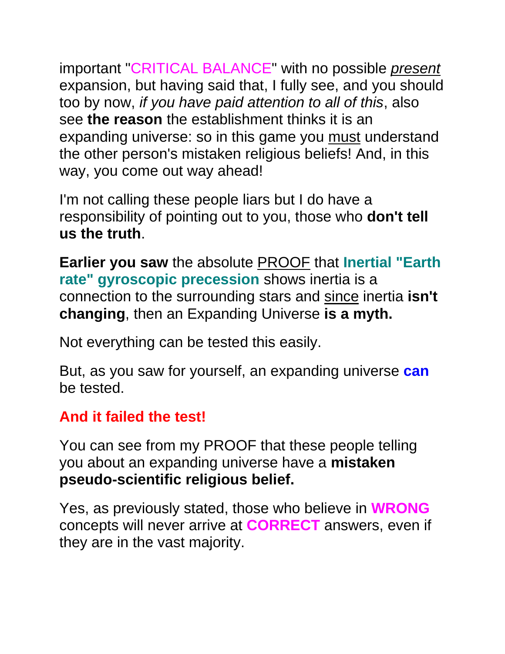important "CRITICAL BALANCE" with no possible *present* expansion, but having said that, I fully see, and you should too by now, *if you have paid attention to all of this*, also see **the reason** the establishment thinks it is an expanding universe: so in this game you must understand the other person's mistaken religious beliefs! And, in this way, you come out way ahead!

I'm not calling these people liars but I do have a responsibility of pointing out to you, those who **don't tell us the truth**.

**Earlier you saw** the absolute PROOF that **Inertial "Earth rate" gyroscopic precession** shows inertia is a connection to the surrounding stars and since inertia **isn't changing**, then an Expanding Universe **is a myth.**

Not everything can be tested this easily.

But, as you saw for yourself, an expanding universe **can** be tested.

#### **And it failed the test!**

You can see from my PROOF that these people telling you about an expanding universe have a **mistaken pseudo-scientific religious belief.**

Yes, as previously stated, those who believe in **WRONG** concepts will never arrive at **CORRECT** answers, even if they are in the vast majority.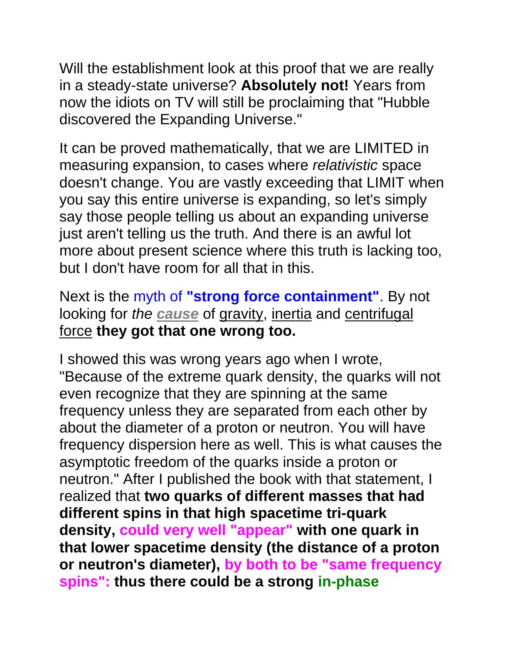Will the establishment look at this proof that we are really in a steady-state universe? **Absolutely not!** Years from now the idiots on TV will still be proclaiming that "Hubble discovered the Expanding Universe."

It can be proved mathematically, that we are LIMITED in measuring expansion, to cases where *relativistic* space doesn't change. You are vastly exceeding that LIMIT when you say this entire universe is expanding, so let's simply say those people telling us about an expanding universe just aren't telling us the truth. And there is an awful lot more about present science where this truth is lacking too, but I don't have room for all that in this.

Next is the myth of **"strong force containment"**. By not looking for *the cause* of gravity, inertia and centrifugal force **they got that one wrong too.**

I showed this was wrong years ago when I wrote, "Because of the extreme quark density, the quarks will not even recognize that they are spinning at the same frequency unless they are separated from each other by about the diameter of a proton or neutron. You will have frequency dispersion here as well. This is what causes the asymptotic freedom of the quarks inside a proton or neutron." After I published the book with that statement, I realized that **two quarks of different masses that had different spins in that high spacetime tri-quark density, could very well "appear" with one quark in that lower spacetime density (the distance of a proton or neutron's diameter), by both to be "same frequency spins": thus there could be a strong in-phase**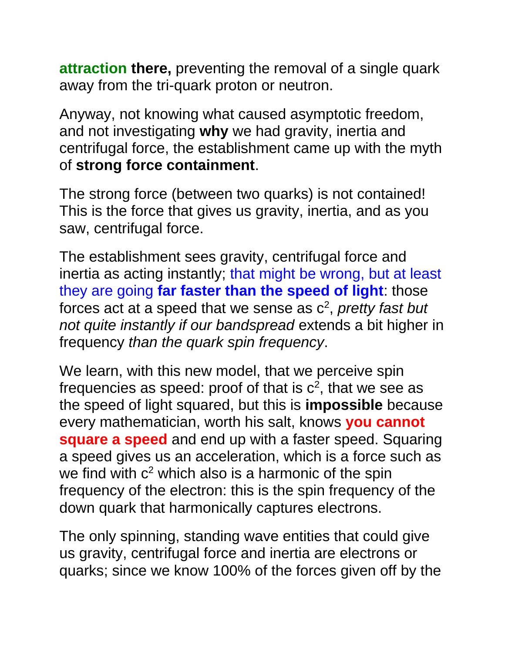**attraction there,** preventing the removal of a single quark away from the tri-quark proton or neutron.

Anyway, not knowing what caused asymptotic freedom, and not investigating **why** we had gravity, inertia and centrifugal force, the establishment came up with the myth of **strong force containment**.

The strong force (between two quarks) is not contained! This is the force that gives us gravity, inertia, and as you saw, centrifugal force.

The establishment sees gravity, centrifugal force and inertia as acting instantly; that might be wrong, but at least they are going **far faster than the speed of light**: those forces act at a speed that we sense as c<sup>2</sup>, *pretty fast but not quite instantly if our bandspread* extends a bit higher in frequency *than the quark spin frequency*.

We learn, with this new model, that we perceive spin frequencies as speed: proof of that is  $c^2$ , that we see as the speed of light squared, but this is **impossible** because every mathematician, worth his salt, knows **you cannot square a speed** and end up with a faster speed. Squaring a speed gives us an acceleration, which is a force such as we find with  $c^2$  which also is a harmonic of the spin frequency of the electron: this is the spin frequency of the down quark that harmonically captures electrons.

The only spinning, standing wave entities that could give us gravity, centrifugal force and inertia are electrons or quarks; since we know 100% of the forces given off by the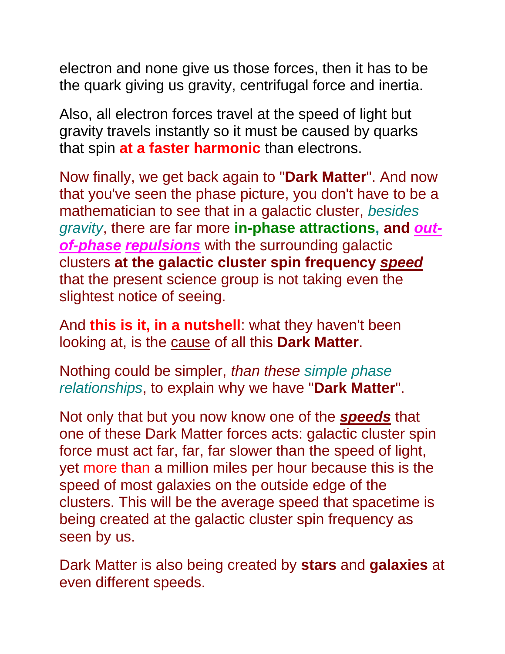electron and none give us those forces, then it has to be the quark giving us gravity, centrifugal force and inertia.

Also, all electron forces travel at the speed of light but gravity travels instantly so it must be caused by quarks that spin **at a faster harmonic** than electrons.

Now finally, we get back again to "**Dark Matter**". And now that you've seen the phase picture, you don't have to be a mathematician to see that in a galactic cluster, *besides gravity*, there are far more **in-phase attractions, and** *outof-phase repulsions* with the surrounding galactic clusters **at the galactic cluster spin frequency** *speed* that the present science group is not taking even the slightest notice of seeing.

And **this is it, in a nutshell**: what they haven't been looking at, is the cause of all this **Dark Matter**.

Nothing could be simpler, *than these simple phase relationships*, to explain why we have "**Dark Matter**".

Not only that but you now know one of the *speeds* that one of these Dark Matter forces acts: galactic cluster spin force must act far, far, far slower than the speed of light, yet more than a million miles per hour because this is the speed of most galaxies on the outside edge of the clusters. This will be the average speed that spacetime is being created at the galactic cluster spin frequency as seen by us.

Dark Matter is also being created by **stars** and **galaxies** at even different speeds.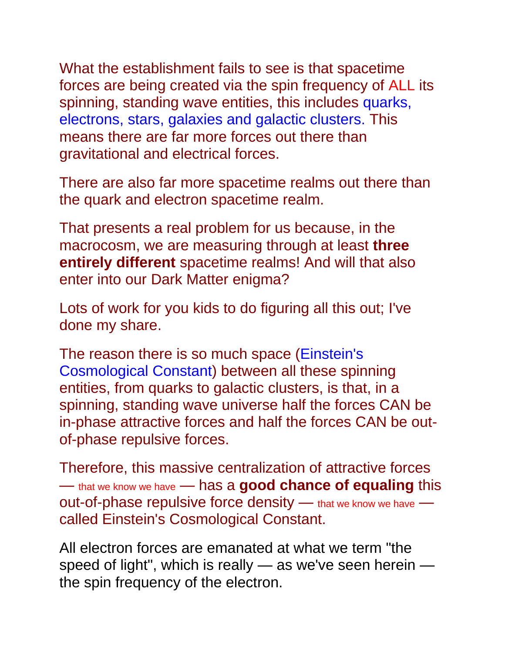What the establishment fails to see is that spacetime forces are being created via the spin frequency of ALL its spinning, standing wave entities, this includes quarks, electrons, stars, galaxies and galactic clusters. This means there are far more forces out there than gravitational and electrical forces.

There are also far more spacetime realms out there than the quark and electron spacetime realm.

That presents a real problem for us because, in the macrocosm, we are measuring through at least **three entirely different** spacetime realms! And will that also enter into our Dark Matter enigma?

Lots of work for you kids to do figuring all this out; I've done my share.

The reason there is so much space (Einstein's Cosmological Constant) between all these spinning entities, from quarks to galactic clusters, is that, in a spinning, standing wave universe half the forces CAN be in-phase attractive forces and half the forces CAN be outof-phase repulsive forces.

Therefore, this massive centralization of attractive forces — that we know we have — has a **good chance of equaling** this out-of-phase repulsive force density — that we know we have called Einstein's Cosmological Constant.

All electron forces are emanated at what we term "the speed of light", which is really — as we've seen herein the spin frequency of the electron.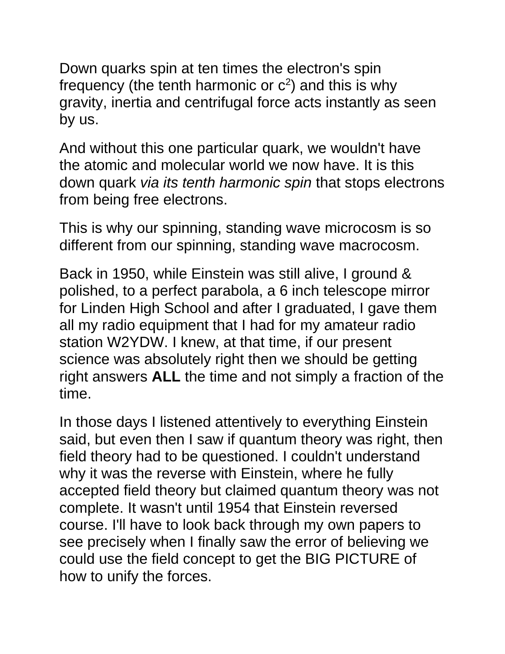Down quarks spin at ten times the electron's spin frequency (the tenth harmonic or  $c^2$ ) and this is why gravity, inertia and centrifugal force acts instantly as seen by us.

And without this one particular quark, we wouldn't have the atomic and molecular world we now have. It is this down quark *via its tenth harmonic spin* that stops electrons from being free electrons.

This is why our spinning, standing wave microcosm is so different from our spinning, standing wave macrocosm.

Back in 1950, while Einstein was still alive, I ground & polished, to a perfect parabola, a 6 inch telescope mirror for Linden High School and after I graduated, I gave them all my radio equipment that I had for my amateur radio station W2YDW. I knew, at that time, if our present science was absolutely right then we should be getting right answers **ALL** the time and not simply a fraction of the time.

In those days I listened attentively to everything Einstein said, but even then I saw if quantum theory was right, then field theory had to be questioned. I couldn't understand why it was the reverse with Einstein, where he fully accepted field theory but claimed quantum theory was not complete. It wasn't until 1954 that Einstein reversed course. I'll have to look back through my own papers to see precisely when I finally saw the error of believing we could use the field concept to get the BIG PICTURE of how to unify the forces.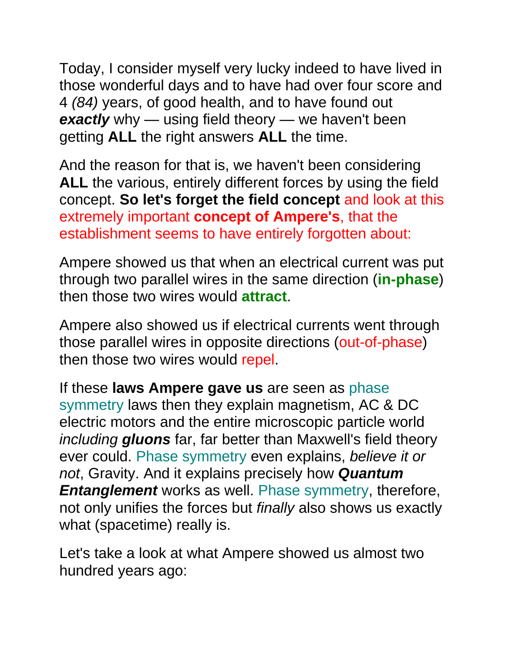Today, I consider myself very lucky indeed to have lived in those wonderful days and to have had over four score and 4 *(84)* years, of good health, and to have found out **exactly** why — using field theory — we haven't been getting **ALL** the right answers **ALL** the time.

And the reason for that is, we haven't been considering **ALL** the various, entirely different forces by using the field concept. **So let's forget the field concept** and look at this extremely important **concept of Ampere's**, that the establishment seems to have entirely forgotten about:

Ampere showed us that when an electrical current was put through two parallel wires in the same direction (**in-phase**) then those two wires would **attract**.

Ampere also showed us if electrical currents went through those parallel wires in opposite directions (out-of-phase) then those two wires would repel.

If these **laws Ampere gave us** are seen as phase symmetry laws then they explain magnetism, AC & DC electric motors and the entire microscopic particle world *including gluons* far, far better than Maxwell's field theory ever could. Phase symmetry even explains, *believe it or not*, Gravity. And it explains precisely how *Quantum Entanglement* works as well. Phase symmetry, therefore, not only unifies the forces but *finally* also shows us exactly what (spacetime) really is.

Let's take a look at what Ampere showed us almost two hundred years ago: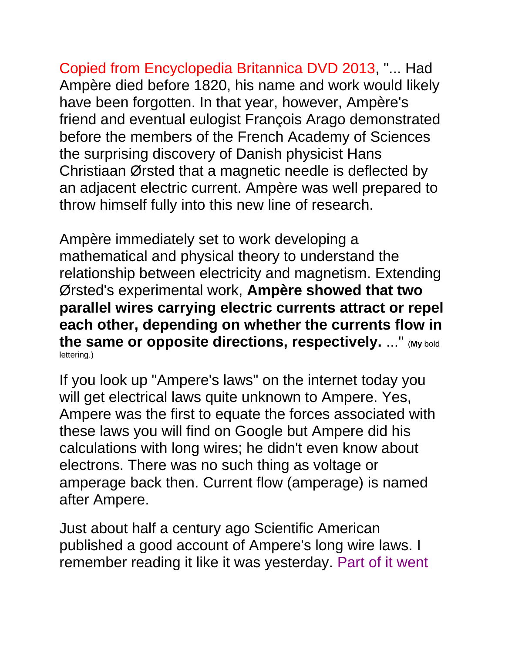Copied from Encyclopedia Britannica DVD 2013, "... Had Ampère died before 1820, his name and work would likely have been forgotten. In that year, however, Ampère's friend and eventual eulogist François Arago demonstrated before the members of the French Academy of Sciences the surprising discovery of Danish physicist Hans Christiaan Ørsted that a magnetic needle is deflected by an adjacent electric current. Ampère was well prepared to throw himself fully into this new line of research.

Ampère immediately set to work developing a mathematical and physical theory to understand the relationship between electricity and magnetism. Extending Ørsted's experimental work, **Ampère showed that two parallel wires carrying electric currents attract or repel each other, depending on whether the currents flow in the same or opposite directions, respectively.** ..." (**My** bold lettering.)

If you look up "Ampere's laws" on the internet today you will get electrical laws quite unknown to Ampere. Yes, Ampere was the first to equate the forces associated with these laws you will find on Google but Ampere did his calculations with long wires; he didn't even know about electrons. There was no such thing as voltage or amperage back then. Current flow (amperage) is named after Ampere.

Just about half a century ago Scientific American published a good account of Ampere's long wire laws. I remember reading it like it was yesterday. Part of it went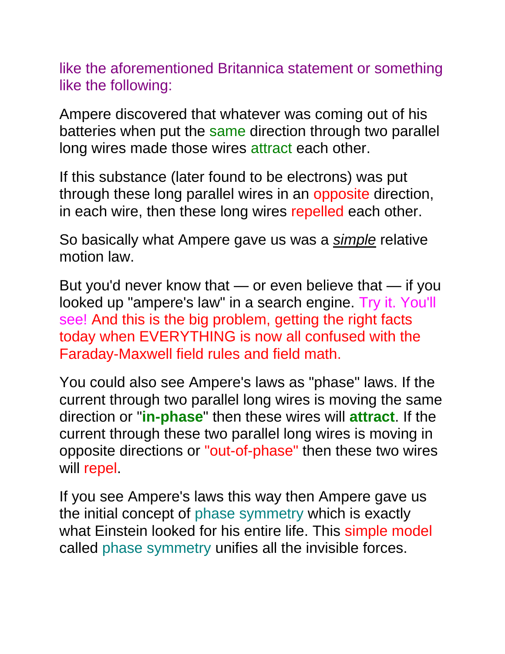like the aforementioned Britannica statement or something like the following:

Ampere discovered that whatever was coming out of his batteries when put the same direction through two parallel long wires made those wires attract each other.

If this substance (later found to be electrons) was put through these long parallel wires in an opposite direction, in each wire, then these long wires repelled each other.

So basically what Ampere gave us was a *simple* relative motion law.

But you'd never know that — or even believe that — if you looked up "ampere's law" in a search engine. Try it. You'll see! And this is the big problem, getting the right facts today when EVERYTHING is now all confused with the Faraday-Maxwell field rules and field math.

You could also see Ampere's laws as "phase" laws. If the current through two parallel long wires is moving the same direction or "**in-phase**" then these wires will **attract**. If the current through these two parallel long wires is moving in opposite directions or "out-of-phase" then these two wires will repel.

If you see Ampere's laws this way then Ampere gave us the initial concept of phase symmetry which is exactly what Einstein looked for his entire life. This simple model called phase symmetry unifies all the invisible forces.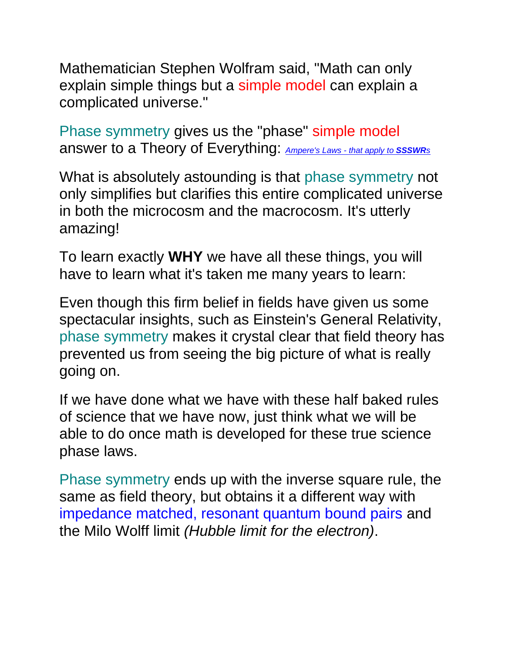Mathematician Stephen Wolfram said, "Math can only explain simple things but a simple model can explain a complicated universe."

Phase symmetry gives us the "phase" simple model answer to a Theory of Everything: *[Ampere's Laws -](http://rbduncan.com/Ampere.htm) that apply to SSSWR<sup>s</sup>*

What is absolutely astounding is that phase symmetry not only simplifies but clarifies this entire complicated universe in both the microcosm and the macrocosm. It's utterly amazing!

To learn exactly **WHY** we have all these things, you will have to learn what it's taken me many years to learn:

Even though this firm belief in fields have given us some spectacular insights, such as Einstein's General Relativity, phase symmetry makes it crystal clear that field theory has prevented us from seeing the big picture of what is really going on.

If we have done what we have with these half baked rules of science that we have now, just think what we will be able to do once math is developed for these true science phase laws.

Phase symmetry ends up with the inverse square rule, the same as field theory, but obtains it a different way with impedance matched, resonant quantum bound pairs and the Milo Wolff limit *(Hubble limit for the electron)*.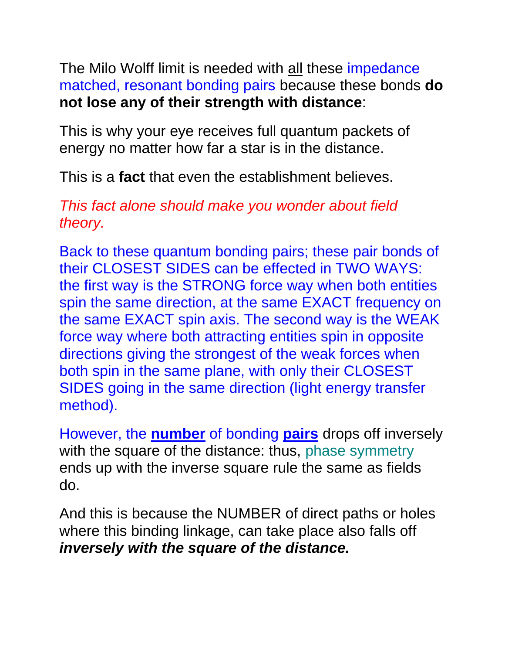The Milo Wolff limit is needed with all these impedance matched, resonant bonding pairs because these bonds **do not lose any of their strength with distance**:

This is why your eye receives full quantum packets of energy no matter how far a star is in the distance.

This is a **fact** that even the establishment believes.

#### *This fact alone should make you wonder about field theory.*

Back to these quantum bonding pairs; these pair bonds of their CLOSEST SIDES can be effected in TWO WAYS: the first way is the STRONG force way when both entities spin the same direction, at the same EXACT frequency on the same EXACT spin axis. The second way is the WEAK force way where both attracting entities spin in opposite directions giving the strongest of the weak forces when both spin in the same plane, with only their CLOSEST SIDES going in the same direction (light energy transfer method).

However, the **number** of bonding **pairs** drops off inversely with the square of the distance: thus, phase symmetry ends up with the inverse square rule the same as fields do.

And this is because the NUMBER of direct paths or holes where this binding linkage, can take place also falls off *inversely with the square of the distance.*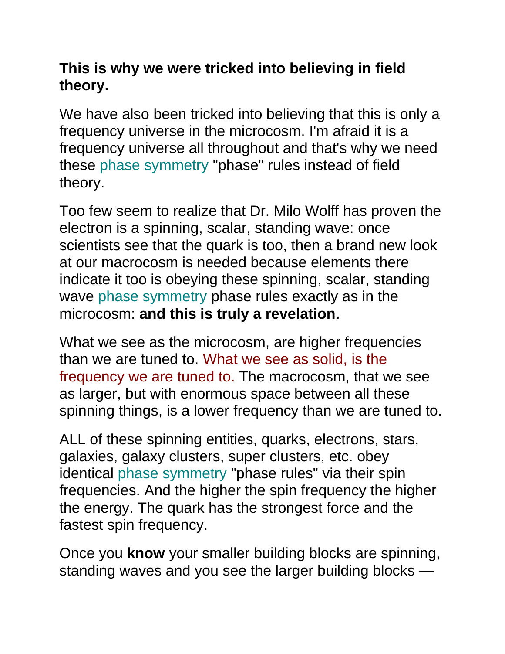#### **This is why we were tricked into believing in field theory.**

We have also been tricked into believing that this is only a frequency universe in the microcosm. I'm afraid it is a frequency universe all throughout and that's why we need these phase symmetry "phase" rules instead of field theory.

Too few seem to realize that Dr. Milo Wolff has proven the electron is a spinning, scalar, standing wave: once scientists see that the quark is too, then a brand new look at our macrocosm is needed because elements there indicate it too is obeying these spinning, scalar, standing wave phase symmetry phase rules exactly as in the microcosm: **and this is truly a revelation.**

What we see as the microcosm, are higher frequencies than we are tuned to. What we see as solid, is the frequency we are tuned to. The macrocosm, that we see as larger, but with enormous space between all these spinning things, is a lower frequency than we are tuned to.

ALL of these spinning entities, quarks, electrons, stars, galaxies, galaxy clusters, super clusters, etc. obey identical phase symmetry "phase rules" via their spin frequencies. And the higher the spin frequency the higher the energy. The quark has the strongest force and the fastest spin frequency.

Once you **know** your smaller building blocks are spinning, standing waves and you see the larger building blocks —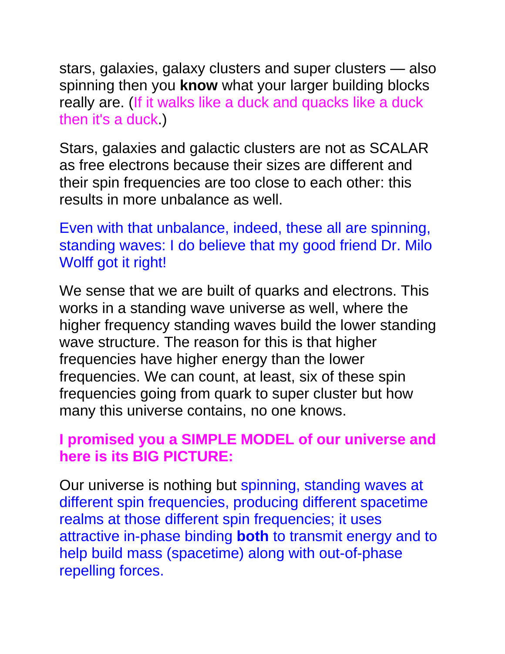stars, galaxies, galaxy clusters and super clusters — also spinning then you **know** what your larger building blocks really are. (If it walks like a duck and quacks like a duck then it's a duck.)

Stars, galaxies and galactic clusters are not as SCALAR as free electrons because their sizes are different and their spin frequencies are too close to each other: this results in more unbalance as well.

Even with that unbalance, indeed, these all are spinning, standing waves: I do believe that my good friend Dr. Milo Wolff got it right!

We sense that we are built of quarks and electrons. This works in a standing wave universe as well, where the higher frequency standing waves build the lower standing wave structure. The reason for this is that higher frequencies have higher energy than the lower frequencies. We can count, at least, six of these spin frequencies going from quark to super cluster but how many this universe contains, no one knows.

#### **I promised you a SIMPLE MODEL of our universe and here is its BIG PICTURE:**

Our universe is nothing but spinning, standing waves at different spin frequencies, producing different spacetime realms at those different spin frequencies; it uses attractive in-phase binding **both** to transmit energy and to help build mass (spacetime) along with out-of-phase repelling forces.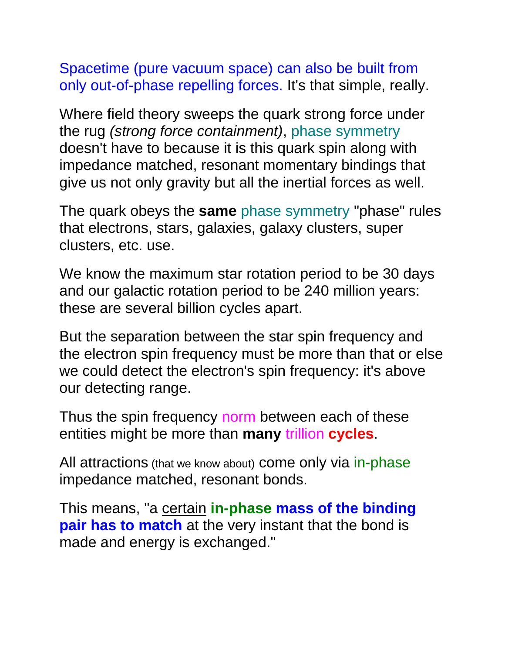Spacetime (pure vacuum space) can also be built from only out-of-phase repelling forces. It's that simple, really.

Where field theory sweeps the quark strong force under the rug *(strong force containment)*, phase symmetry doesn't have to because it is this quark spin along with impedance matched, resonant momentary bindings that give us not only gravity but all the inertial forces as well.

The quark obeys the **same** phase symmetry "phase" rules that electrons, stars, galaxies, galaxy clusters, super clusters, etc. use.

We know the maximum star rotation period to be 30 days and our galactic rotation period to be 240 million years: these are several billion cycles apart.

But the separation between the star spin frequency and the electron spin frequency must be more than that or else we could detect the electron's spin frequency: it's above our detecting range.

Thus the spin frequency norm between each of these entities might be more than **many** trillion **cycles**.

All attractions (that we know about) come only via in-phase impedance matched, resonant bonds.

This means, "a certain **in-phase mass of the binding pair has to match** at the very instant that the bond is made and energy is exchanged."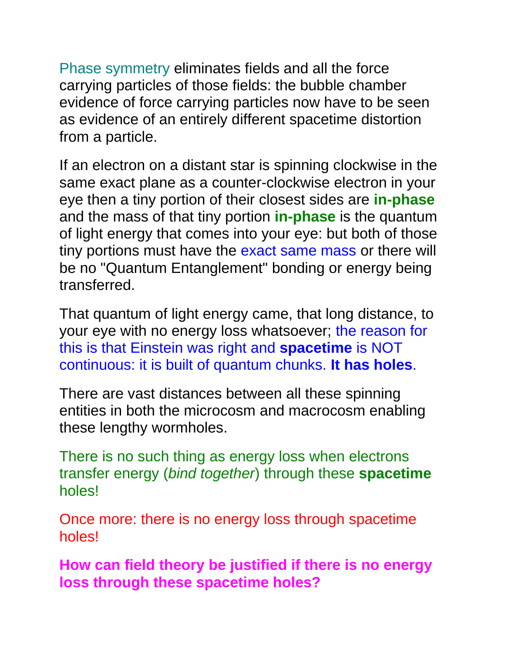Phase symmetry eliminates fields and all the force carrying particles of those fields: the bubble chamber evidence of force carrying particles now have to be seen as evidence of an entirely different spacetime distortion from a particle.

If an electron on a distant star is spinning clockwise in the same exact plane as a counter-clockwise electron in your eye then a tiny portion of their closest sides are **in-phase** and the mass of that tiny portion **in-phase** is the quantum of light energy that comes into your eye: but both of those tiny portions must have the exact same mass or there will be no "Quantum Entanglement" bonding or energy being transferred.

That quantum of light energy came, that long distance, to your eye with no energy loss whatsoever; the reason for this is that Einstein was right and **spacetime** is NOT continuous: it is built of quantum chunks. **It has holes**.

There are vast distances between all these spinning entities in both the microcosm and macrocosm enabling these lengthy wormholes.

There is no such thing as energy loss when electrons transfer energy (*bind together*) through these **spacetime** holes!

Once more: there is no energy loss through spacetime holes!

**How can field theory be justified if there is no energy loss through these spacetime holes?**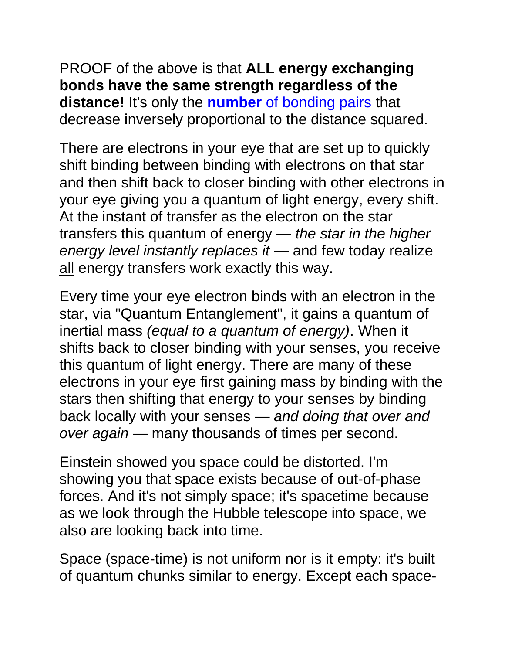PROOF of the above is that **ALL energy exchanging bonds have the same strength regardless of the distance!** It's only the **number** of bonding pairs that decrease inversely proportional to the distance squared.

There are electrons in your eye that are set up to quickly shift binding between binding with electrons on that star and then shift back to closer binding with other electrons in your eye giving you a quantum of light energy, every shift. At the instant of transfer as the electron on the star transfers this quantum of energy — *the star in the higher energy level instantly replaces it* — and few today realize all energy transfers work exactly this way.

Every time your eye electron binds with an electron in the star, via "Quantum Entanglement", it gains a quantum of inertial mass *(equal to a quantum of energy)*. When it shifts back to closer binding with your senses, you receive this quantum of light energy. There are many of these electrons in your eye first gaining mass by binding with the stars then shifting that energy to your senses by binding back locally with your senses — *and doing that over and over again* — many thousands of times per second.

Einstein showed you space could be distorted. I'm showing you that space exists because of out-of-phase forces. And it's not simply space; it's spacetime because as we look through the Hubble telescope into space, we also are looking back into time.

Space (space-time) is not uniform nor is it empty: it's built of quantum chunks similar to energy. Except each space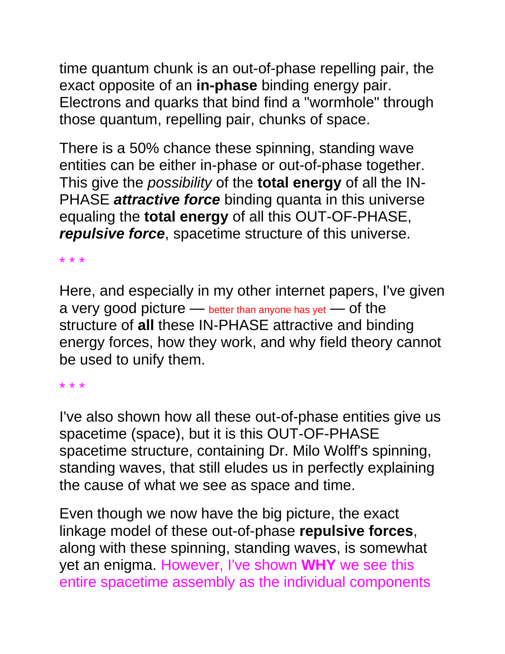time quantum chunk is an out-of-phase repelling pair, the exact opposite of an **in-phase** binding energy pair. Electrons and quarks that bind find a "wormhole" through those quantum, repelling pair, chunks of space.

There is a 50% chance these spinning, standing wave entities can be either in-phase or out-of-phase together. This give the *possibility* of the **total energy** of all the IN-PHASE *attractive force* binding quanta in this universe equaling the **total energy** of all this OUT-OF-PHASE, *repulsive force*, spacetime structure of this universe.

\* \* \*

Here, and especially in my other internet papers, I've given a very good picture — better than anyone has yet — of the structure of **all** these IN-PHASE attractive and binding energy forces, how they work, and why field theory cannot be used to unify them.

\* \* \*

I've also shown how all these out-of-phase entities give us spacetime (space), but it is this OUT-OF-PHASE spacetime structure, containing Dr. Milo Wolff's spinning, standing waves, that still eludes us in perfectly explaining the cause of what we see as space and time.

Even though we now have the big picture, the exact linkage model of these out-of-phase **repulsive forces**, along with these spinning, standing waves, is somewhat yet an enigma. However, I've shown **WHY** we see this entire spacetime assembly as the individual components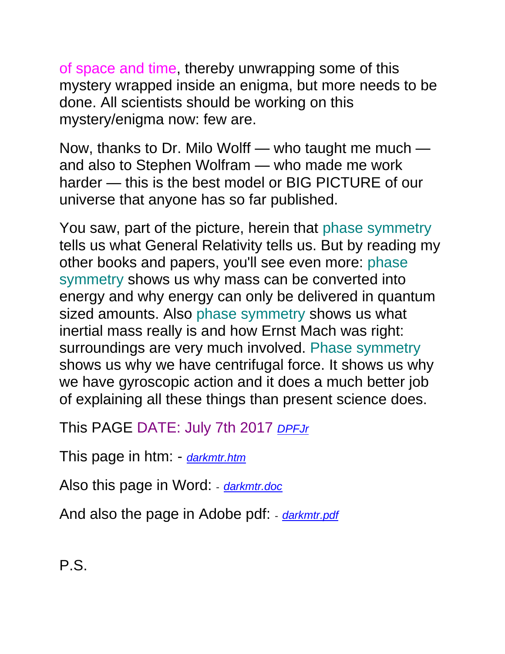of space and time, thereby unwrapping some of this mystery wrapped inside an enigma, but more needs to be done. All scientists should be working on this mystery/enigma now: few are.

Now, thanks to Dr. Milo Wolff — who taught me much and also to Stephen Wolfram — who made me work harder — this is the best model or BIG PICTURE of our universe that anyone has so far published.

You saw, part of the picture, herein that phase symmetry tells us what General Relativity tells us. But by reading my other books and papers, you'll see even more: phase symmetry shows us why mass can be converted into energy and why energy can only be delivered in quantum sized amounts. Also phase symmetry shows us what inertial mass really is and how Ernst Mach was right: surroundings are very much involved. Phase symmetry shows us why we have centrifugal force. It shows us why we have gyroscopic action and it does a much better job of explaining all these things than present science does.

This PAGE DATE: July 7th 2017 *[DPFJr](http://rbduncan.com/DPFJr)*

This page in htm: - *[darkmtr.htm](http://amperefitz.com/darkmtr.htm)*

Also this page in Word: - *[darkmtr.doc](http://amperefitz.com/darkmtr.doc)*

And also the page in Adobe pdf: - *[darkmtr.pdf](http://amperefitz.com/darkmtr.pdf)*

P.S.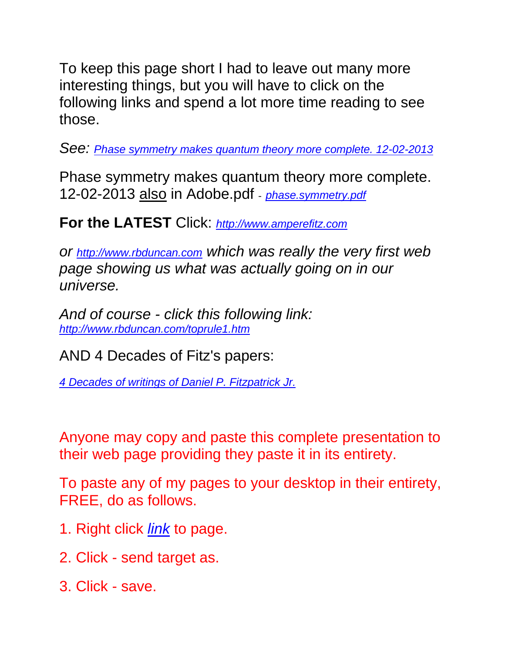To keep this page short I had to leave out many more interesting things, but you will have to click on the following links and spend a lot more time reading to see those.

*See: [Phase symmetry makes quantum theory more complete. 12-02-2013](http://amperefitz.com/phase.symmetry.htm)*

Phase symmetry makes quantum theory more complete. 12-02-2013 also in Adobe.pdf - *[phase.symmetry.pdf](http://amperefitz.com/phase.symmetry.pdf)*

#### **For the LATEST** Click: *[http://www.amperefitz.com](http://www.amperefitz.com/)*

*or [http://www.rbduncan.com](http://www.rbduncan.com/) which was really the very first web page showing us what was actually going on in our universe.*

*And of course - click this following link: <http://www.rbduncan.com/toprule1.htm>*

AND 4 Decades of Fitz's papers:

*[4 Decades of writings of Daniel P. Fitzpatrick Jr.](http://www.rbduncan.com/4.decades.htm)* 

Anyone may copy and paste this complete presentation to their web page providing they paste it in its entirety.

To paste any of my pages to your desktop in their entirety, FREE, do as follows.

- 1. Right click *link* to page.
- 2. Click send target as.
- 3. Click save.